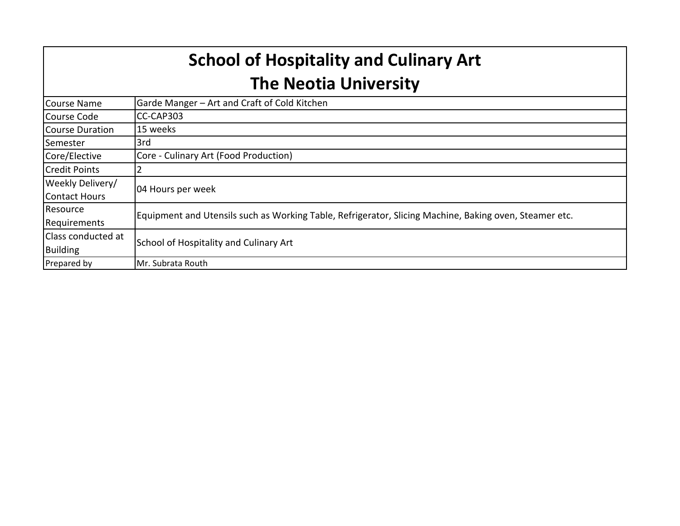| <b>School of Hospitality and Culinary Art</b><br><b>The Neotia University</b> |                                                                                                        |  |  |  |
|-------------------------------------------------------------------------------|--------------------------------------------------------------------------------------------------------|--|--|--|
| <b>Course Name</b>                                                            | Garde Manger - Art and Craft of Cold Kitchen                                                           |  |  |  |
| Course Code                                                                   | CC-CAP303                                                                                              |  |  |  |
| Course Duration                                                               | 15 weeks                                                                                               |  |  |  |
| Semester                                                                      | 3rd                                                                                                    |  |  |  |
| Core/Elective                                                                 | Core - Culinary Art (Food Production)                                                                  |  |  |  |
| <b>Credit Points</b>                                                          |                                                                                                        |  |  |  |
| Weekly Delivery/<br>Contact Hours                                             | 04 Hours per week                                                                                      |  |  |  |
| Resource<br>Requirements                                                      | Equipment and Utensils such as Working Table, Refrigerator, Slicing Machine, Baking oven, Steamer etc. |  |  |  |
| Class conducted at<br>Building                                                | School of Hospitality and Culinary Art                                                                 |  |  |  |
| Prepared by                                                                   | Mr. Subrata Routh                                                                                      |  |  |  |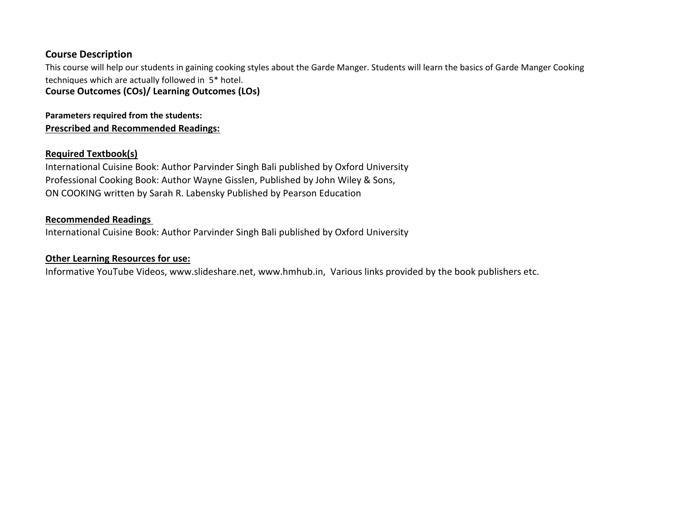## **Course Description**

This course will help our students in gaining cooking styles about the Garde Manger. Students will learn the basics of Garde Manger Cooking techniques which are actually followed in 5\* hotel.

**Course Outcomes (COs)/ Learning Outcomes (LOs)**

**Prescribed and Recommended Readings: Parameters required from the students:** 

## **Required Textbook(s)**

International Cuisine Book: Author Parvinder Singh Bali published by Oxford University Professional Cooking Book: Author Wayne Gisslen, Published by John Wiley & Sons, ON COOKING written by Sarah R. Labensky Published by Pearson Education

## **Recommended Readings**

International Cuisine Book: Author Parvinder Singh Bali published by Oxford University

## **Other Learning Resources for use:**

Informative YouTube Videos, www.slideshare.net, www.hmhub.in, Various links provided by the book publishers etc.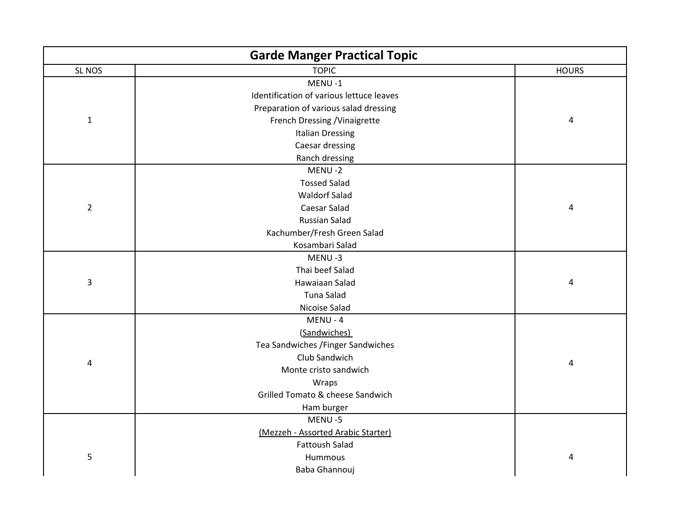|                | <b>Garde Manger Practical Topic</b>      |              |
|----------------|------------------------------------------|--------------|
| SL NOS         | <b>TOPIC</b>                             | <b>HOURS</b> |
|                | MENU-1                                   |              |
|                | Identification of various lettuce leaves |              |
|                | Preparation of various salad dressing    |              |
| $\mathbf{1}$   | French Dressing / Vinaigrette            | 4            |
|                | <b>Italian Dressing</b>                  |              |
|                | Caesar dressing                          |              |
|                | Ranch dressing                           |              |
|                | MENU-2                                   |              |
|                | <b>Tossed Salad</b>                      |              |
|                | <b>Waldorf Salad</b>                     |              |
| $\overline{2}$ | <b>Caesar Salad</b>                      | 4            |
|                | <b>Russian Salad</b>                     |              |
|                | Kachumber/Fresh Green Salad              |              |
|                | Kosambari Salad                          |              |
|                | MENU-3                                   |              |
|                | Thai beef Salad                          |              |
| 3              | Hawaiaan Salad                           | 4            |
|                | <b>Tuna Salad</b>                        |              |
|                | Nicoise Salad                            |              |
|                | MENU - 4                                 |              |
|                | (Sandwiches)                             |              |
|                | Tea Sandwiches / Finger Sandwiches       |              |
| 4              | Club Sandwich                            | 4            |
|                | Monte cristo sandwich                    |              |
|                | Wraps                                    |              |
|                | Grilled Tomato & cheese Sandwich         |              |
|                | Ham burger                               |              |
|                | MENU-5                                   |              |
|                | (Mezzeh - Assorted Arabic Starter)       |              |
|                | <b>Fattoush Salad</b>                    |              |
| 5              | Hummous                                  | 4            |
|                | Baba Ghannouj                            |              |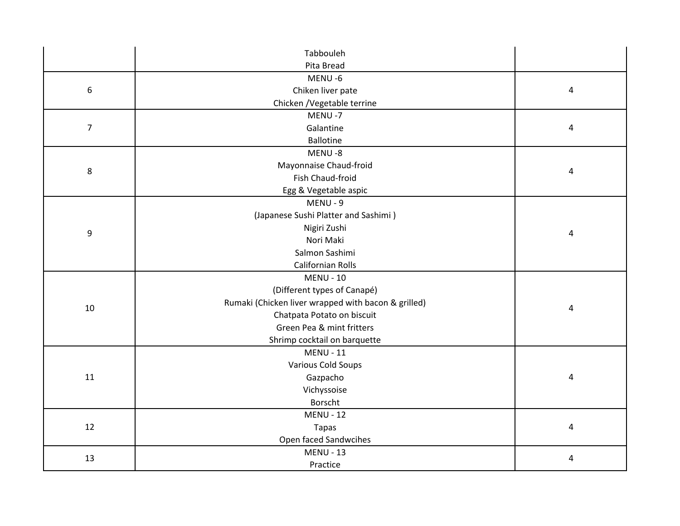|                | Tabbouleh                                           |   |
|----------------|-----------------------------------------------------|---|
|                | Pita Bread                                          |   |
|                | MENU-6                                              |   |
| 6              | Chiken liver pate                                   | 4 |
|                | Chicken / Vegetable terrine                         |   |
|                | MENU-7                                              |   |
| $\overline{7}$ | Galantine                                           | 4 |
|                | <b>Ballotine</b>                                    |   |
|                | MENU-8                                              |   |
| 8              | Mayonnaise Chaud-froid                              | 4 |
|                | Fish Chaud-froid                                    |   |
|                | Egg & Vegetable aspic                               |   |
|                | MENU - 9                                            |   |
|                | (Japanese Sushi Platter and Sashimi)                |   |
| 9              | Nigiri Zushi                                        | 4 |
|                | Nori Maki                                           |   |
|                | Salmon Sashimi                                      |   |
|                | <b>Californian Rolls</b>                            |   |
|                | <b>MENU - 10</b>                                    |   |
|                | (Different types of Canapé)                         |   |
| 10             | Rumaki (Chicken liver wrapped with bacon & grilled) | 4 |
|                | Chatpata Potato on biscuit                          |   |
|                | Green Pea & mint fritters                           |   |
|                | Shrimp cocktail on barquette                        |   |
|                | <b>MENU - 11</b>                                    |   |
|                | <b>Various Cold Soups</b>                           |   |
| 11             | Gazpacho                                            | 4 |
|                | Vichyssoise                                         |   |
|                | Borscht                                             |   |
|                | <b>MENU - 12</b>                                    |   |
| 12             | <b>Tapas</b>                                        | 4 |
|                | Open faced Sandwcihes                               |   |
| 13             | <b>MENU - 13</b>                                    | 4 |
|                | Practice                                            |   |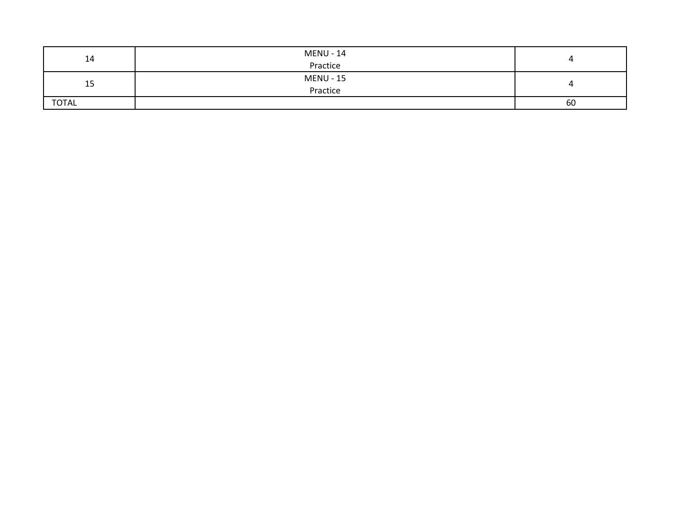| 14           | <b>MENU - 14</b> |    |
|--------------|------------------|----|
|              | Practice         |    |
| 15           | <b>MENU - 15</b> |    |
|              | Practice         |    |
| <b>TOTAL</b> |                  | 60 |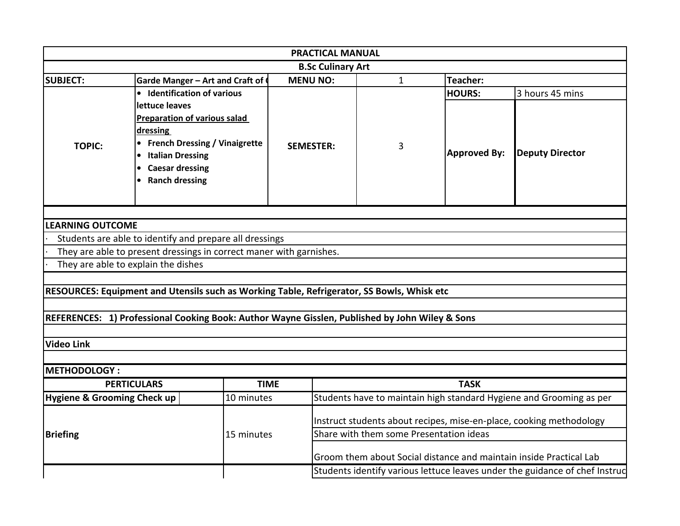|                                        |                                                                                                                                                   |             | <b>PRACTICAL MANUAL</b>  |                                         |                                                                     |                                                                             |  |
|----------------------------------------|---------------------------------------------------------------------------------------------------------------------------------------------------|-------------|--------------------------|-----------------------------------------|---------------------------------------------------------------------|-----------------------------------------------------------------------------|--|
|                                        |                                                                                                                                                   |             | <b>B.Sc Culinary Art</b> |                                         |                                                                     |                                                                             |  |
| <b>SUBJECT:</b>                        | Garde Manger - Art and Craft of                                                                                                                   |             | <b>MENU NO:</b>          | $\mathbf{1}$                            | Teacher:                                                            |                                                                             |  |
|                                        | • Identification of various<br>lettuce leaves                                                                                                     |             |                          |                                         | <b>HOURS:</b>                                                       | 3 hours 45 mins                                                             |  |
| <b>TOPIC:</b>                          | <b>Preparation of various salad</b><br>dressing<br>• French Dressing / Vinaigrette<br>• Italian Dressing<br>• Caesar dressing<br>• Ranch dressing |             | <b>SEMESTER:</b>         | 3                                       | <b>Approved By:</b>                                                 | <b>Deputy Director</b>                                                      |  |
| <b>LEARNING OUTCOME</b>                |                                                                                                                                                   |             |                          |                                         |                                                                     |                                                                             |  |
|                                        | Students are able to identify and prepare all dressings                                                                                           |             |                          |                                         |                                                                     |                                                                             |  |
|                                        | They are able to present dressings in correct maner with garnishes.                                                                               |             |                          |                                         |                                                                     |                                                                             |  |
| They are able to explain the dishes    |                                                                                                                                                   |             |                          |                                         |                                                                     |                                                                             |  |
|                                        |                                                                                                                                                   |             |                          |                                         |                                                                     |                                                                             |  |
|                                        | RESOURCES: Equipment and Utensils such as Working Table, Refrigerator, SS Bowls, Whisk etc                                                        |             |                          |                                         |                                                                     |                                                                             |  |
| <b>Video Link</b>                      | REFERENCES: 1) Professional Cooking Book: Author Wayne Gisslen, Published by John Wiley & Sons                                                    |             |                          |                                         |                                                                     |                                                                             |  |
|                                        |                                                                                                                                                   |             |                          |                                         |                                                                     |                                                                             |  |
| <b>METHODOLOGY:</b>                    |                                                                                                                                                   |             |                          |                                         |                                                                     |                                                                             |  |
|                                        | <b>PERTICULARS</b>                                                                                                                                | <b>TIME</b> |                          |                                         | <b>TASK</b>                                                         |                                                                             |  |
| <b>Hygiene &amp; Grooming Check up</b> |                                                                                                                                                   | 10 minutes  |                          |                                         |                                                                     | Students have to maintain high standard Hygiene and Grooming as per         |  |
|                                        |                                                                                                                                                   |             |                          |                                         | Instruct students about recipes, mise-en-place, cooking methodology |                                                                             |  |
| <b>Briefing</b>                        |                                                                                                                                                   | 15 minutes  |                          | Share with them some Presentation ideas |                                                                     |                                                                             |  |
|                                        |                                                                                                                                                   |             |                          |                                         |                                                                     | Groom them about Social distance and maintain inside Practical Lab          |  |
|                                        |                                                                                                                                                   |             |                          |                                         |                                                                     | Students identify various lettuce leaves under the guidance of chef Instruc |  |
|                                        |                                                                                                                                                   |             |                          |                                         |                                                                     |                                                                             |  |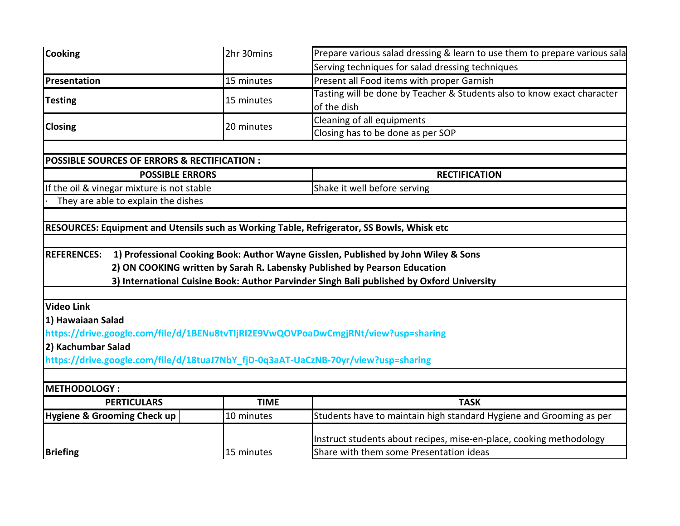| <b>Cooking</b>                                                                             | 2hr 30mins  | Prepare various salad dressing & learn to use them to prepare various sala                |  |  |  |
|--------------------------------------------------------------------------------------------|-------------|-------------------------------------------------------------------------------------------|--|--|--|
|                                                                                            |             | Serving techniques for salad dressing techniques                                          |  |  |  |
| Presentation                                                                               | 15 minutes  | Present all Food items with proper Garnish                                                |  |  |  |
| <b>Testing</b>                                                                             | 15 minutes  | Tasting will be done by Teacher & Students also to know exact character                   |  |  |  |
|                                                                                            |             | of the dish                                                                               |  |  |  |
| <b>Closing</b>                                                                             | 20 minutes  | Cleaning of all equipments                                                                |  |  |  |
|                                                                                            |             | Closing has to be done as per SOP                                                         |  |  |  |
|                                                                                            |             |                                                                                           |  |  |  |
| POSSIBLE SOURCES OF ERRORS & RECTIFICATION :                                               |             |                                                                                           |  |  |  |
| <b>POSSIBLE ERRORS</b>                                                                     |             | <b>RECTIFICATION</b>                                                                      |  |  |  |
| If the oil & vinegar mixture is not stable                                                 |             | Shake it well before serving                                                              |  |  |  |
| They are able to explain the dishes                                                        |             |                                                                                           |  |  |  |
|                                                                                            |             |                                                                                           |  |  |  |
| RESOURCES: Equipment and Utensils such as Working Table, Refrigerator, SS Bowls, Whisk etc |             |                                                                                           |  |  |  |
|                                                                                            |             |                                                                                           |  |  |  |
| <b>REFERENCES:</b>                                                                         |             | 1) Professional Cooking Book: Author Wayne Gisslen, Published by John Wiley & Sons        |  |  |  |
|                                                                                            |             | 2) ON COOKING written by Sarah R. Labensky Published by Pearson Education                 |  |  |  |
|                                                                                            |             | 3) International Cuisine Book: Author Parvinder Singh Bali published by Oxford University |  |  |  |
|                                                                                            |             |                                                                                           |  |  |  |
| <b>Video Link</b>                                                                          |             |                                                                                           |  |  |  |
| 1) Hawaiaan Salad                                                                          |             |                                                                                           |  |  |  |
| https://drive.google.com/file/d/1BENu8tvTIjRI2E9VwQOVPoaDwCmgjRNt/view?usp=sharing         |             |                                                                                           |  |  |  |
| 2) Kachumbar Salad                                                                         |             |                                                                                           |  |  |  |
| https://drive.google.com/file/d/18tuaJ7NbY_fjD-0q3aAT-UaCzNB-70yr/view?usp=sharing         |             |                                                                                           |  |  |  |
|                                                                                            |             |                                                                                           |  |  |  |
| <b>METHODOLOGY:</b>                                                                        |             |                                                                                           |  |  |  |
| <b>PERTICULARS</b>                                                                         | <b>TIME</b> | <b>TASK</b>                                                                               |  |  |  |
| <b>Hygiene &amp; Grooming Check up</b>                                                     | 10 minutes  | Students have to maintain high standard Hygiene and Grooming as per                       |  |  |  |
|                                                                                            |             | Instruct students about recipes, mise-en-place, cooking methodology                       |  |  |  |
| <b>Briefing</b>                                                                            | 15 minutes  | Share with them some Presentation ideas                                                   |  |  |  |
|                                                                                            |             |                                                                                           |  |  |  |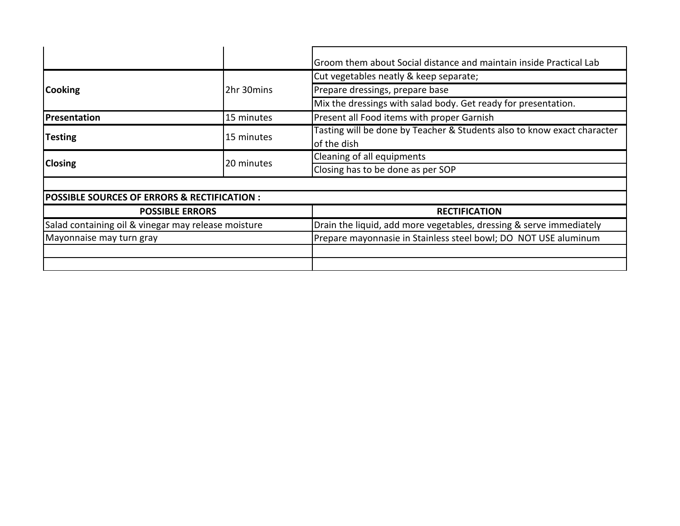|                                                        |            | Groom them about Social distance and maintain inside Practical Lab                     |  |  |
|--------------------------------------------------------|------------|----------------------------------------------------------------------------------------|--|--|
|                                                        |            | Cut vegetables neatly & keep separate;                                                 |  |  |
| <b>Cooking</b>                                         | 2hr 30mins | Prepare dressings, prepare base                                                        |  |  |
|                                                        |            | Mix the dressings with salad body. Get ready for presentation.                         |  |  |
| Presentation                                           | 15 minutes | Present all Food items with proper Garnish                                             |  |  |
| <b>Testing</b>                                         | 15 minutes | Tasting will be done by Teacher & Students also to know exact character<br>of the dish |  |  |
| <b>Closing</b>                                         | 20 minutes | Cleaning of all equipments                                                             |  |  |
|                                                        |            | Closing has to be done as per SOP                                                      |  |  |
|                                                        |            |                                                                                        |  |  |
| <b>POSSIBLE SOURCES OF ERRORS &amp; RECTIFICATION:</b> |            |                                                                                        |  |  |
| <b>POSSIBLE ERRORS</b>                                 |            | <b>RECTIFICATION</b>                                                                   |  |  |
| Salad containing oil & vinegar may release moisture    |            | Drain the liquid, add more vegetables, dressing & serve immediately                    |  |  |
| Mayonnaise may turn gray                               |            | Prepare mayonnasie in Stainless steel bowl; DO NOT USE aluminum                        |  |  |
|                                                        |            |                                                                                        |  |  |
|                                                        |            |                                                                                        |  |  |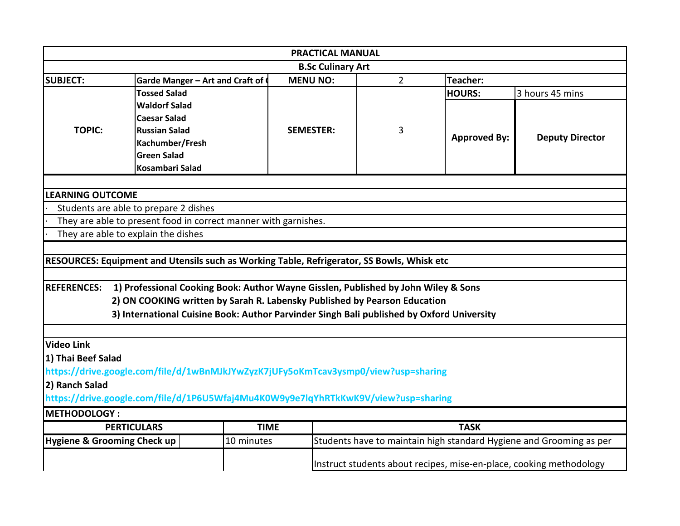|                                                               |                                                                                            | <b>PRACTICAL MANUAL</b> |                |                     |                                                                     |  |  |  |  |  |
|---------------------------------------------------------------|--------------------------------------------------------------------------------------------|-------------------------|----------------|---------------------|---------------------------------------------------------------------|--|--|--|--|--|
| <b>B.Sc Culinary Art</b>                                      |                                                                                            |                         |                |                     |                                                                     |  |  |  |  |  |
| <b>SUBJECT:</b>                                               | Garde Manger - Art and Craft of                                                            | <b>MENU NO:</b>         | $\overline{2}$ | Teacher:            |                                                                     |  |  |  |  |  |
|                                                               | <b>Tossed Salad</b>                                                                        |                         |                | <b>HOURS:</b>       | 3 hours 45 mins                                                     |  |  |  |  |  |
|                                                               | <b>Waldorf Salad</b>                                                                       |                         |                |                     |                                                                     |  |  |  |  |  |
|                                                               | <b>Caesar Salad</b>                                                                        |                         |                |                     | <b>Deputy Director</b>                                              |  |  |  |  |  |
| <b>TOPIC:</b>                                                 | <b>Russian Salad</b>                                                                       | <b>SEMESTER:</b>        | 3              | <b>Approved By:</b> |                                                                     |  |  |  |  |  |
|                                                               | Kachumber/Fresh                                                                            |                         |                |                     |                                                                     |  |  |  |  |  |
|                                                               | <b>Green Salad</b>                                                                         |                         |                |                     |                                                                     |  |  |  |  |  |
|                                                               | Kosambari Salad                                                                            |                         |                |                     |                                                                     |  |  |  |  |  |
|                                                               |                                                                                            |                         |                |                     |                                                                     |  |  |  |  |  |
| <b>LEARNING OUTCOME</b>                                       |                                                                                            |                         |                |                     |                                                                     |  |  |  |  |  |
|                                                               | Students are able to prepare 2 dishes                                                      |                         |                |                     |                                                                     |  |  |  |  |  |
|                                                               | They are able to present food in correct manner with garnishes.                            |                         |                |                     |                                                                     |  |  |  |  |  |
| They are able to explain the dishes                           |                                                                                            |                         |                |                     |                                                                     |  |  |  |  |  |
|                                                               |                                                                                            |                         |                |                     |                                                                     |  |  |  |  |  |
|                                                               | RESOURCES: Equipment and Utensils such as Working Table, Refrigerator, SS Bowls, Whisk etc |                         |                |                     |                                                                     |  |  |  |  |  |
|                                                               |                                                                                            |                         |                |                     |                                                                     |  |  |  |  |  |
| <b>REFERENCES:</b>                                            | 1) Professional Cooking Book: Author Wayne Gisslen, Published by John Wiley & Sons         |                         |                |                     |                                                                     |  |  |  |  |  |
|                                                               | 2) ON COOKING written by Sarah R. Labensky Published by Pearson Education                  |                         |                |                     |                                                                     |  |  |  |  |  |
|                                                               | 3) International Cuisine Book: Author Parvinder Singh Bali published by Oxford University  |                         |                |                     |                                                                     |  |  |  |  |  |
|                                                               |                                                                                            |                         |                |                     |                                                                     |  |  |  |  |  |
|                                                               |                                                                                            |                         |                |                     |                                                                     |  |  |  |  |  |
| <b>Video Link</b>                                             |                                                                                            |                         |                |                     |                                                                     |  |  |  |  |  |
| 1) Thai Beef Salad                                            |                                                                                            |                         |                |                     |                                                                     |  |  |  |  |  |
|                                                               | https://drive.google.com/file/d/1wBnMJkJYwZyzK7jUFy5oKmTcav3ysmp0/view?usp=sharing         |                         |                |                     |                                                                     |  |  |  |  |  |
| 2) Ranch Salad                                                |                                                                                            |                         |                |                     |                                                                     |  |  |  |  |  |
|                                                               | https://drive.google.com/file/d/1P6U5Wfaj4Mu4K0W9y9e7lqYhRTkKwK9V/view?usp=sharing         |                         |                |                     |                                                                     |  |  |  |  |  |
|                                                               |                                                                                            |                         |                |                     |                                                                     |  |  |  |  |  |
|                                                               |                                                                                            |                         |                |                     |                                                                     |  |  |  |  |  |
|                                                               | <b>PERTICULARS</b><br><b>TIME</b>                                                          |                         |                | <b>TASK</b>         |                                                                     |  |  |  |  |  |
| <b>METHODOLOGY:</b><br><b>Hygiene &amp; Grooming Check up</b> | 10 minutes                                                                                 |                         |                |                     | Students have to maintain high standard Hygiene and Grooming as per |  |  |  |  |  |
|                                                               |                                                                                            |                         |                |                     | Instruct students about recipes, mise-en-place, cooking methodology |  |  |  |  |  |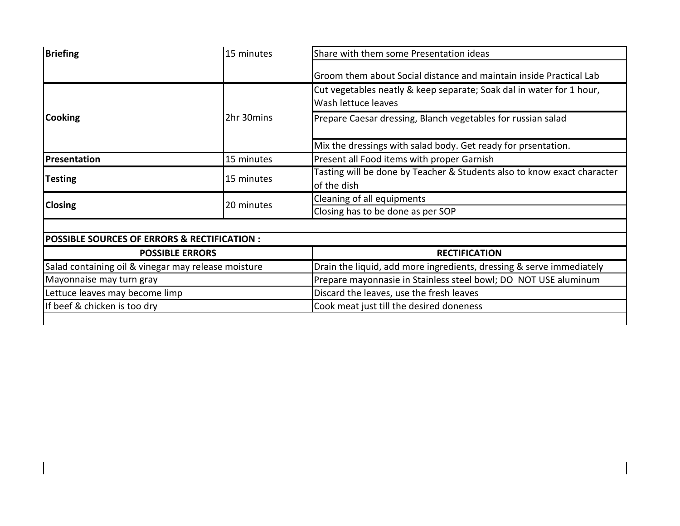|            | Groom them about Social distance and maintain inside Practical Lab                                                                       |  |  |
|------------|------------------------------------------------------------------------------------------------------------------------------------------|--|--|
|            | Cut vegetables neatly & keep separate; Soak dal in water for 1 hour,<br>Wash lettuce leaves                                              |  |  |
| 2hr 30mins | Prepare Caesar dressing, Blanch vegetables for russian salad                                                                             |  |  |
|            | Mix the dressings with salad body. Get ready for prsentation.                                                                            |  |  |
| 15 minutes | Present all Food items with proper Garnish                                                                                               |  |  |
| 15 minutes | Tasting will be done by Teacher & Students also to know exact character<br>of the dish                                                   |  |  |
| 20 minutes | Cleaning of all equipments                                                                                                               |  |  |
|            | Closing has to be done as per SOP                                                                                                        |  |  |
|            |                                                                                                                                          |  |  |
|            |                                                                                                                                          |  |  |
|            | <b>RECTIFICATION</b>                                                                                                                     |  |  |
|            | Drain the liquid, add more ingredients, dressing & serve immediately                                                                     |  |  |
|            | Prepare mayonnasie in Stainless steel bowl; DO NOT USE aluminum                                                                          |  |  |
|            | Discard the leaves, use the fresh leaves                                                                                                 |  |  |
|            | Cook meat just till the desired doneness                                                                                                 |  |  |
|            | <b>POSSIBLE SOURCES OF ERRORS &amp; RECTIFICATION :</b><br><b>POSSIBLE ERRORS</b><br>Salad containing oil & vinegar may release moisture |  |  |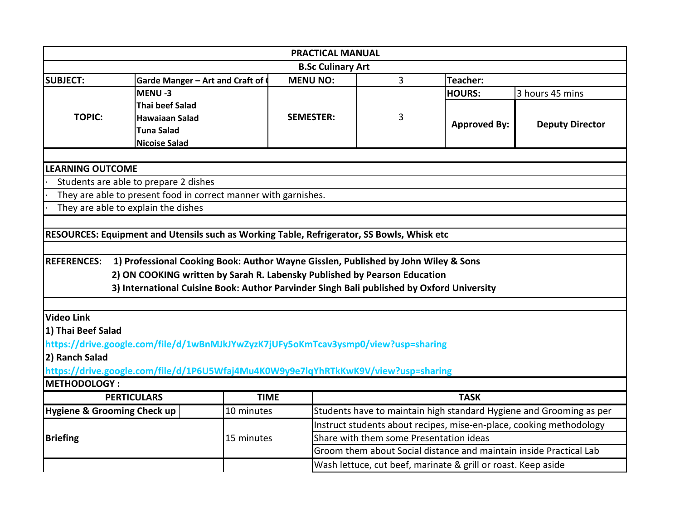|                                     | <b>PRACTICAL MANUAL</b>                                                                    |             |                          |                                                                    |                                                               |                                                                     |  |  |  |
|-------------------------------------|--------------------------------------------------------------------------------------------|-------------|--------------------------|--------------------------------------------------------------------|---------------------------------------------------------------|---------------------------------------------------------------------|--|--|--|
|                                     |                                                                                            |             | <b>B.Sc Culinary Art</b> |                                                                    |                                                               |                                                                     |  |  |  |
| <b>SUBJECT:</b>                     | Garde Manger - Art and Craft of                                                            |             | <b>MENU NO:</b>          | 3                                                                  | <b>Teacher:</b>                                               |                                                                     |  |  |  |
|                                     | MENU-3                                                                                     |             |                          |                                                                    | <b>HOURS:</b>                                                 | 3 hours 45 mins                                                     |  |  |  |
|                                     | <b>Thai beef Salad</b>                                                                     |             |                          |                                                                    |                                                               |                                                                     |  |  |  |
| <b>TOPIC:</b>                       | <b>Hawaiaan Salad</b>                                                                      |             | <b>SEMESTER:</b>         | 3                                                                  | <b>Approved By:</b>                                           | <b>Deputy Director</b>                                              |  |  |  |
|                                     | <b>Tuna Salad</b>                                                                          |             |                          |                                                                    |                                                               |                                                                     |  |  |  |
|                                     | <b>Nicoise Salad</b>                                                                       |             |                          |                                                                    |                                                               |                                                                     |  |  |  |
|                                     |                                                                                            |             |                          |                                                                    |                                                               |                                                                     |  |  |  |
| <b>LEARNING OUTCOME</b>             |                                                                                            |             |                          |                                                                    |                                                               |                                                                     |  |  |  |
|                                     | Students are able to prepare 2 dishes                                                      |             |                          |                                                                    |                                                               |                                                                     |  |  |  |
|                                     | They are able to present food in correct manner with garnishes.                            |             |                          |                                                                    |                                                               |                                                                     |  |  |  |
| They are able to explain the dishes |                                                                                            |             |                          |                                                                    |                                                               |                                                                     |  |  |  |
|                                     |                                                                                            |             |                          |                                                                    |                                                               |                                                                     |  |  |  |
|                                     | RESOURCES: Equipment and Utensils such as Working Table, Refrigerator, SS Bowls, Whisk etc |             |                          |                                                                    |                                                               |                                                                     |  |  |  |
|                                     |                                                                                            |             |                          |                                                                    |                                                               |                                                                     |  |  |  |
| <b>REFERENCES:</b>                  | 1) Professional Cooking Book: Author Wayne Gisslen, Published by John Wiley & Sons         |             |                          |                                                                    |                                                               |                                                                     |  |  |  |
|                                     | 2) ON COOKING written by Sarah R. Labensky Published by Pearson Education                  |             |                          |                                                                    |                                                               |                                                                     |  |  |  |
|                                     | 3) International Cuisine Book: Author Parvinder Singh Bali published by Oxford University  |             |                          |                                                                    |                                                               |                                                                     |  |  |  |
|                                     |                                                                                            |             |                          |                                                                    |                                                               |                                                                     |  |  |  |
| <b>Video Link</b>                   |                                                                                            |             |                          |                                                                    |                                                               |                                                                     |  |  |  |
| 1) Thai Beef Salad                  |                                                                                            |             |                          |                                                                    |                                                               |                                                                     |  |  |  |
|                                     | https://drive.google.com/file/d/1wBnMJkJYwZyzK7jUFy5oKmTcav3ysmp0/view?usp=sharing         |             |                          |                                                                    |                                                               |                                                                     |  |  |  |
| 2) Ranch Salad                      |                                                                                            |             |                          |                                                                    |                                                               |                                                                     |  |  |  |
|                                     | https://drive.google.com/file/d/1P6U5Wfaj4Mu4K0W9y9e7lqYhRTkKwK9V/view?usp=sharing         |             |                          |                                                                    |                                                               |                                                                     |  |  |  |
| <b>METHODOLOGY:</b>                 |                                                                                            |             |                          |                                                                    |                                                               |                                                                     |  |  |  |
|                                     | <b>PERTICULARS</b>                                                                         | <b>TIME</b> |                          |                                                                    | <b>TASK</b>                                                   |                                                                     |  |  |  |
| Hygiene & Grooming Check up         |                                                                                            | 10 minutes  |                          |                                                                    |                                                               | Students have to maintain high standard Hygiene and Grooming as per |  |  |  |
|                                     |                                                                                            |             |                          |                                                                    |                                                               | Instruct students about recipes, mise-en-place, cooking methodology |  |  |  |
| <b>Briefing</b>                     |                                                                                            | 15 minutes  |                          | Share with them some Presentation ideas                            |                                                               |                                                                     |  |  |  |
|                                     |                                                                                            |             |                          | Groom them about Social distance and maintain inside Practical Lab |                                                               |                                                                     |  |  |  |
|                                     |                                                                                            |             |                          |                                                                    |                                                               |                                                                     |  |  |  |
|                                     |                                                                                            |             |                          |                                                                    | Wash lettuce, cut beef, marinate & grill or roast. Keep aside |                                                                     |  |  |  |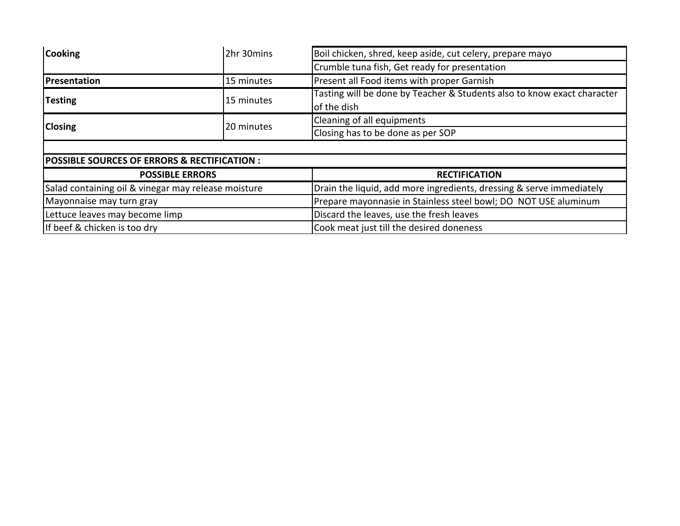| <b>Cooking</b>                                         | 2hr 30mins | Boil chicken, shred, keep aside, cut celery, prepare mayo                              |  |  |  |  |
|--------------------------------------------------------|------------|----------------------------------------------------------------------------------------|--|--|--|--|
|                                                        |            | Crumble tuna fish, Get ready for presentation                                          |  |  |  |  |
| Presentation                                           | 15 minutes | Present all Food items with proper Garnish                                             |  |  |  |  |
| <b>Testing</b>                                         | 15 minutes | Tasting will be done by Teacher & Students also to know exact character<br>of the dish |  |  |  |  |
|                                                        | 20 minutes | Cleaning of all equipments                                                             |  |  |  |  |
| <b>Closing</b>                                         |            | Closing has to be done as per SOP                                                      |  |  |  |  |
|                                                        |            |                                                                                        |  |  |  |  |
| <b>POSSIBLE SOURCES OF ERRORS &amp; RECTIFICATION:</b> |            |                                                                                        |  |  |  |  |
| <b>POSSIBLE ERRORS</b>                                 |            | <b>RECTIFICATION</b>                                                                   |  |  |  |  |
| Salad containing oil & vinegar may release moisture    |            | Drain the liquid, add more ingredients, dressing & serve immediately                   |  |  |  |  |
| Mayonnaise may turn gray                               |            | Prepare mayonnasie in Stainless steel bowl; DO NOT USE aluminum                        |  |  |  |  |
| Lettuce leaves may become limp                         |            | Discard the leaves, use the fresh leaves                                               |  |  |  |  |
| If beef & chicken is too dry                           |            | Cook meat just till the desired doneness                                               |  |  |  |  |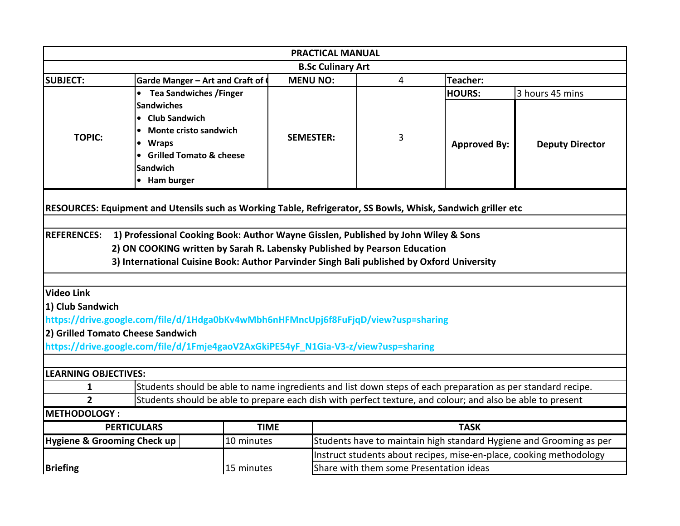| <b>PRACTICAL MANUAL</b>           |                                                                                                              |             |                  |                                         |                     |                                                                     |  |
|-----------------------------------|--------------------------------------------------------------------------------------------------------------|-------------|------------------|-----------------------------------------|---------------------|---------------------------------------------------------------------|--|
|                                   | <b>B.Sc Culinary Art</b>                                                                                     |             |                  |                                         |                     |                                                                     |  |
| <b>SUBJECT:</b>                   | <b>MENU NO:</b><br>4<br>Teacher:<br>Garde Manger - Art and Craft of                                          |             |                  |                                         |                     |                                                                     |  |
|                                   | <b>Tea Sandwiches / Finger</b>                                                                               |             |                  |                                         | <b>HOURS:</b>       | 3 hours 45 mins                                                     |  |
|                                   | <b>Sandwiches</b>                                                                                            |             |                  |                                         |                     |                                                                     |  |
|                                   | • Club Sandwich                                                                                              |             |                  |                                         |                     |                                                                     |  |
| <b>TOPIC:</b>                     | <b>Monte cristo sandwich</b>                                                                                 |             | <b>SEMESTER:</b> | 3                                       |                     |                                                                     |  |
|                                   | <b>Wraps</b>                                                                                                 |             |                  |                                         | <b>Approved By:</b> | <b>Deputy Director</b>                                              |  |
|                                   | • Grilled Tomato & cheese                                                                                    |             |                  |                                         |                     |                                                                     |  |
|                                   | <b>Sandwich</b>                                                                                              |             |                  |                                         |                     |                                                                     |  |
|                                   | • Ham burger                                                                                                 |             |                  |                                         |                     |                                                                     |  |
|                                   |                                                                                                              |             |                  |                                         |                     |                                                                     |  |
|                                   | RESOURCES: Equipment and Utensils such as Working Table, Refrigerator, SS Bowls, Whisk, Sandwich griller etc |             |                  |                                         |                     |                                                                     |  |
|                                   |                                                                                                              |             |                  |                                         |                     |                                                                     |  |
| <b>REFERENCES:</b>                | 1) Professional Cooking Book: Author Wayne Gisslen, Published by John Wiley & Sons                           |             |                  |                                         |                     |                                                                     |  |
|                                   | 2) ON COOKING written by Sarah R. Labensky Published by Pearson Education                                    |             |                  |                                         |                     |                                                                     |  |
|                                   | 3) International Cuisine Book: Author Parvinder Singh Bali published by Oxford University                    |             |                  |                                         |                     |                                                                     |  |
|                                   |                                                                                                              |             |                  |                                         |                     |                                                                     |  |
| Video Link                        |                                                                                                              |             |                  |                                         |                     |                                                                     |  |
| 1) Club Sandwich                  |                                                                                                              |             |                  |                                         |                     |                                                                     |  |
|                                   | https://drive.google.com/file/d/1Hdga0bKv4wMbh6nHFMncUpj6f8FuFjqD/view?usp=sharing                           |             |                  |                                         |                     |                                                                     |  |
| 2) Grilled Tomato Cheese Sandwich |                                                                                                              |             |                  |                                         |                     |                                                                     |  |
|                                   | https://drive.google.com/file/d/1Fmje4gaoV2AxGkiPE54yF_N1Gia-V3-z/view?usp=sharing                           |             |                  |                                         |                     |                                                                     |  |
|                                   |                                                                                                              |             |                  |                                         |                     |                                                                     |  |
| <b>LEARNING OBJECTIVES:</b>       |                                                                                                              |             |                  |                                         |                     |                                                                     |  |
| 1                                 | Students should be able to name ingredients and list down steps of each preparation as per standard recipe.  |             |                  |                                         |                     |                                                                     |  |
| $\overline{2}$                    | Students should be able to prepare each dish with perfect texture, and colour; and also be able to present   |             |                  |                                         |                     |                                                                     |  |
| <b>METHODOLOGY:</b>               |                                                                                                              |             |                  |                                         |                     |                                                                     |  |
|                                   | <b>PERTICULARS</b>                                                                                           | <b>TIME</b> |                  |                                         | <b>TASK</b>         |                                                                     |  |
| Hygiene & Grooming Check up       |                                                                                                              | 10 minutes  |                  |                                         |                     | Students have to maintain high standard Hygiene and Grooming as per |  |
|                                   |                                                                                                              |             |                  |                                         |                     | Instruct students about recipes, mise-en-place, cooking methodology |  |
| <b>Briefing</b>                   |                                                                                                              | 15 minutes  |                  | Share with them some Presentation ideas |                     |                                                                     |  |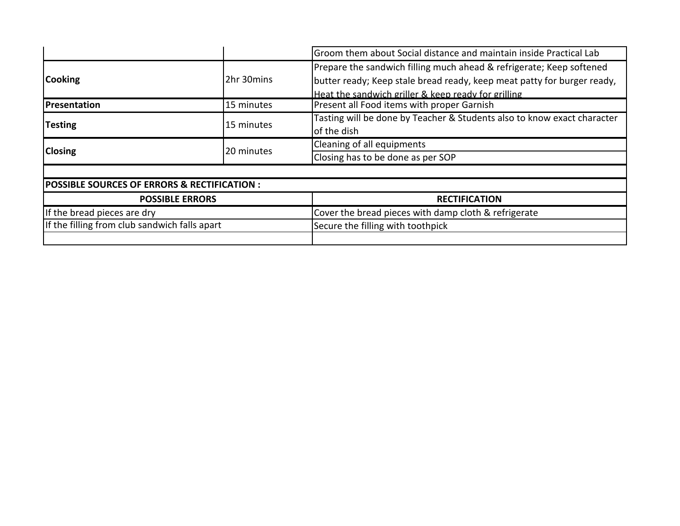|                                                        |            | Groom them about Social distance and maintain inside Practical Lab                                                                                                                                     |  |  |
|--------------------------------------------------------|------------|--------------------------------------------------------------------------------------------------------------------------------------------------------------------------------------------------------|--|--|
| <b>Cooking</b>                                         | 2hr 30mins | Prepare the sandwich filling much ahead & refrigerate; Keep softened<br>butter ready; Keep stale bread ready, keep meat patty for burger ready,<br>Heat the sandwich griller & keep ready for grilling |  |  |
| <b>Presentation</b>                                    | 15 minutes | Present all Food items with proper Garnish                                                                                                                                                             |  |  |
| <b>Testing</b>                                         | 15 minutes | Tasting will be done by Teacher & Students also to know exact character<br>of the dish                                                                                                                 |  |  |
|                                                        |            | Cleaning of all equipments                                                                                                                                                                             |  |  |
| <b>Closing</b>                                         | 20 minutes | Closing has to be done as per SOP                                                                                                                                                                      |  |  |
|                                                        |            |                                                                                                                                                                                                        |  |  |
| <b>POSSIBLE SOURCES OF ERRORS &amp; RECTIFICATION:</b> |            |                                                                                                                                                                                                        |  |  |
| <b>POSSIBLE ERRORS</b>                                 |            | <b>RECTIFICATION</b>                                                                                                                                                                                   |  |  |
| If the bread pieces are dry                            |            | Cover the bread pieces with damp cloth & refrigerate                                                                                                                                                   |  |  |
| If the filling from club sandwich falls apart          |            | Secure the filling with toothpick                                                                                                                                                                      |  |  |
|                                                        |            |                                                                                                                                                                                                        |  |  |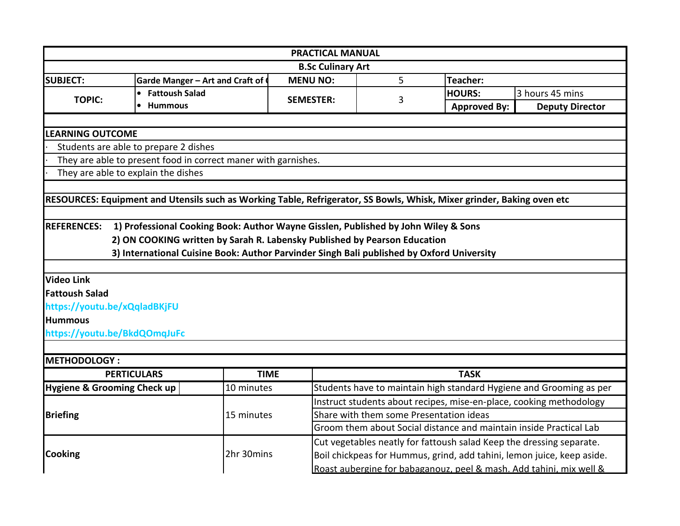|                                        |                                                                                                                        | <b>PRACTICAL MANUAL</b>  |                                         |                        |                                                                        |  |
|----------------------------------------|------------------------------------------------------------------------------------------------------------------------|--------------------------|-----------------------------------------|------------------------|------------------------------------------------------------------------|--|
|                                        |                                                                                                                        | <b>B.Sc Culinary Art</b> |                                         |                        |                                                                        |  |
| <b>SUBJECT:</b>                        | Garde Manger - Art and Craft of                                                                                        | <b>MENU NO:</b>          | 5                                       | Teacher:               |                                                                        |  |
| <b>TOPIC:</b>                          | • Fattoush Salad                                                                                                       | <b>SEMESTER:</b><br>3    |                                         | <b>HOURS:</b>          | 3 hours 45 mins                                                        |  |
|                                        | <b>Hummous</b><br>$\bullet$                                                                                            |                          | <b>Approved By:</b>                     | <b>Deputy Director</b> |                                                                        |  |
|                                        |                                                                                                                        |                          |                                         |                        |                                                                        |  |
| <b>LEARNING OUTCOME</b>                |                                                                                                                        |                          |                                         |                        |                                                                        |  |
|                                        | Students are able to prepare 2 dishes                                                                                  |                          |                                         |                        |                                                                        |  |
|                                        | They are able to present food in correct maner with garnishes.                                                         |                          |                                         |                        |                                                                        |  |
|                                        | They are able to explain the dishes                                                                                    |                          |                                         |                        |                                                                        |  |
|                                        |                                                                                                                        |                          |                                         |                        |                                                                        |  |
|                                        | RESOURCES: Equipment and Utensils such as Working Table, Refrigerator, SS Bowls, Whisk, Mixer grinder, Baking oven etc |                          |                                         |                        |                                                                        |  |
|                                        |                                                                                                                        |                          |                                         |                        |                                                                        |  |
| <b>REFERENCES:</b>                     | 1) Professional Cooking Book: Author Wayne Gisslen, Published by John Wiley & Sons                                     |                          |                                         |                        |                                                                        |  |
|                                        | 2) ON COOKING written by Sarah R. Labensky Published by Pearson Education                                              |                          |                                         |                        |                                                                        |  |
|                                        | 3) International Cuisine Book: Author Parvinder Singh Bali published by Oxford University                              |                          |                                         |                        |                                                                        |  |
|                                        |                                                                                                                        |                          |                                         |                        |                                                                        |  |
| <b>Video Link</b>                      |                                                                                                                        |                          |                                         |                        |                                                                        |  |
| <b>Fattoush Salad</b>                  |                                                                                                                        |                          |                                         |                        |                                                                        |  |
| https://youtu.be/xQqladBKjFU           |                                                                                                                        |                          |                                         |                        |                                                                        |  |
| <b>Hummous</b>                         |                                                                                                                        |                          |                                         |                        |                                                                        |  |
| https://youtu.be/BkdQOmqJuFc           |                                                                                                                        |                          |                                         |                        |                                                                        |  |
|                                        |                                                                                                                        |                          |                                         |                        |                                                                        |  |
| <b>METHODOLOGY:</b>                    |                                                                                                                        |                          |                                         |                        |                                                                        |  |
|                                        | <b>PERTICULARS</b>                                                                                                     | <b>TIME</b>              |                                         | <b>TASK</b>            |                                                                        |  |
| <b>Hygiene &amp; Grooming Check up</b> | 10 minutes                                                                                                             |                          |                                         |                        | Students have to maintain high standard Hygiene and Grooming as per    |  |
|                                        |                                                                                                                        |                          |                                         |                        | Instruct students about recipes, mise-en-place, cooking methodology    |  |
| <b>Briefing</b>                        | 15 minutes                                                                                                             |                          | Share with them some Presentation ideas |                        |                                                                        |  |
|                                        |                                                                                                                        |                          |                                         |                        | Groom them about Social distance and maintain inside Practical Lab     |  |
|                                        |                                                                                                                        |                          |                                         |                        | Cut vegetables neatly for fattoush salad Keep the dressing separate.   |  |
| <b>Cooking</b>                         | 2hr 30mins                                                                                                             |                          |                                         |                        | Boil chickpeas for Hummus, grind, add tahini, lemon juice, keep aside. |  |
|                                        |                                                                                                                        |                          |                                         |                        | Roast aubergine for babaganouz, peel & mash. Add tahini, mix well &    |  |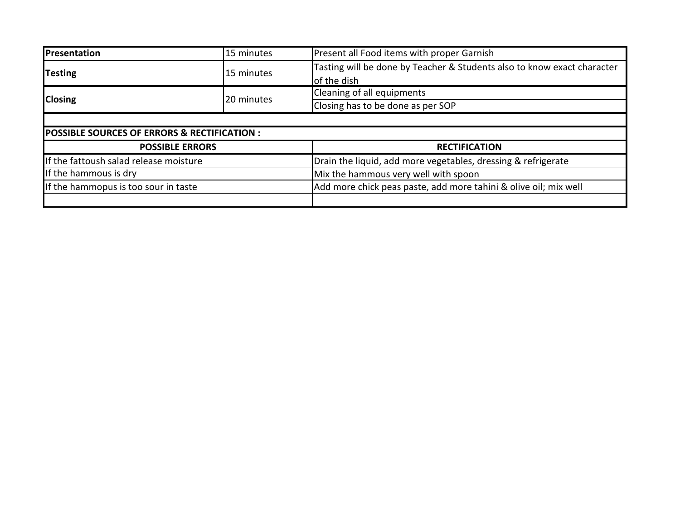| Presentation                                 | 15 minutes             | Present all Food items with proper Garnish                              |  |  |
|----------------------------------------------|------------------------|-------------------------------------------------------------------------|--|--|
| <b>Testing</b>                               | 15 minutes             | Tasting will be done by Teacher & Students also to know exact character |  |  |
|                                              |                        | of the dish                                                             |  |  |
| <b>Closing</b>                               | 20 minutes             | Cleaning of all equipments                                              |  |  |
|                                              |                        | Closing has to be done as per SOP                                       |  |  |
|                                              |                        |                                                                         |  |  |
| POSSIBLE SOURCES OF ERRORS & RECTIFICATION : |                        |                                                                         |  |  |
|                                              | <b>POSSIBLE ERRORS</b> | <b>RECTIFICATION</b>                                                    |  |  |
| If the fattoush salad release moisture       |                        | Drain the liquid, add more vegetables, dressing & refrigerate           |  |  |
| If the hammous is dry                        |                        | Mix the hammous very well with spoon                                    |  |  |
| If the hammopus is too sour in taste         |                        | Add more chick peas paste, add more tahini & olive oil; mix well        |  |  |
|                                              |                        |                                                                         |  |  |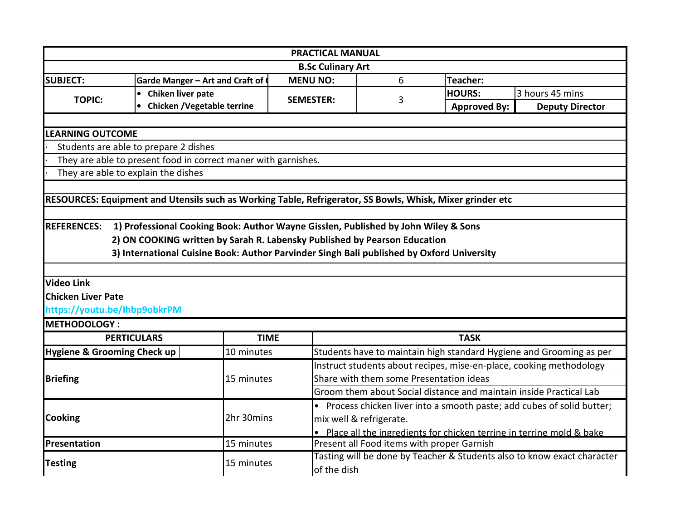|                                                                                                           |                                                                                           | <b>PRACTICAL MANUAL</b>  |                                         |                                                                        |                                                                         |  |  |
|-----------------------------------------------------------------------------------------------------------|-------------------------------------------------------------------------------------------|--------------------------|-----------------------------------------|------------------------------------------------------------------------|-------------------------------------------------------------------------|--|--|
|                                                                                                           |                                                                                           | <b>B.Sc Culinary Art</b> |                                         |                                                                        |                                                                         |  |  |
| <b>SUBJECT:</b>                                                                                           | Garde Manger - Art and Craft of                                                           | <b>MENU NO:</b>          | 6                                       | Teacher:                                                               |                                                                         |  |  |
| Chiken liver pate<br>$\bullet$<br><b>TOPIC:</b>                                                           |                                                                                           | <b>SEMESTER:</b>         | 3                                       | <b>HOURS:</b>                                                          | 3 hours 45 mins                                                         |  |  |
|                                                                                                           | <b>Chicken / Vegetable terrine</b>                                                        |                          |                                         | <b>Approved By:</b>                                                    | <b>Deputy Director</b>                                                  |  |  |
|                                                                                                           |                                                                                           |                          |                                         |                                                                        |                                                                         |  |  |
| <b>LEARNING OUTCOME</b>                                                                                   |                                                                                           |                          |                                         |                                                                        |                                                                         |  |  |
| Students are able to prepare 2 dishes                                                                     |                                                                                           |                          |                                         |                                                                        |                                                                         |  |  |
| They are able to present food in correct maner with garnishes.                                            |                                                                                           |                          |                                         |                                                                        |                                                                         |  |  |
| They are able to explain the dishes                                                                       |                                                                                           |                          |                                         |                                                                        |                                                                         |  |  |
|                                                                                                           |                                                                                           |                          |                                         |                                                                        |                                                                         |  |  |
| RESOURCES: Equipment and Utensils such as Working Table, Refrigerator, SS Bowls, Whisk, Mixer grinder etc |                                                                                           |                          |                                         |                                                                        |                                                                         |  |  |
|                                                                                                           |                                                                                           |                          |                                         |                                                                        |                                                                         |  |  |
| <b>REFERENCES:</b>                                                                                        | 1) Professional Cooking Book: Author Wayne Gisslen, Published by John Wiley & Sons        |                          |                                         |                                                                        |                                                                         |  |  |
|                                                                                                           | 2) ON COOKING written by Sarah R. Labensky Published by Pearson Education                 |                          |                                         |                                                                        |                                                                         |  |  |
|                                                                                                           | 3) International Cuisine Book: Author Parvinder Singh Bali published by Oxford University |                          |                                         |                                                                        |                                                                         |  |  |
|                                                                                                           |                                                                                           |                          |                                         |                                                                        |                                                                         |  |  |
| <b>Video Link</b>                                                                                         |                                                                                           |                          |                                         |                                                                        |                                                                         |  |  |
| <b>Chicken Liver Pate</b>                                                                                 |                                                                                           |                          |                                         |                                                                        |                                                                         |  |  |
| https://youtu.be/lhbp9obkrPM                                                                              |                                                                                           |                          |                                         |                                                                        |                                                                         |  |  |
| <b>METHODOLOGY:</b>                                                                                       |                                                                                           |                          |                                         |                                                                        |                                                                         |  |  |
| <b>PERTICULARS</b>                                                                                        | <b>TIME</b>                                                                               |                          |                                         | <b>TASK</b>                                                            |                                                                         |  |  |
| Hygiene & Grooming Check up                                                                               | 10 minutes                                                                                |                          |                                         |                                                                        | Students have to maintain high standard Hygiene and Grooming as per     |  |  |
|                                                                                                           |                                                                                           |                          |                                         |                                                                        | Instruct students about recipes, mise-en-place, cooking methodology     |  |  |
| <b>Briefing</b>                                                                                           | 15 minutes                                                                                |                          | Share with them some Presentation ideas |                                                                        |                                                                         |  |  |
|                                                                                                           |                                                                                           |                          |                                         | Groom them about Social distance and maintain inside Practical Lab     |                                                                         |  |  |
|                                                                                                           |                                                                                           |                          |                                         |                                                                        | • Process chicken liver into a smooth paste; add cubes of solid butter; |  |  |
| <b>Cooking</b>                                                                                            | 2hr 30mins                                                                                |                          | mix well & refrigerate.                 |                                                                        |                                                                         |  |  |
|                                                                                                           |                                                                                           |                          |                                         | • Place all the ingredients for chicken terrine in terrine mold & bake |                                                                         |  |  |
| Presentation                                                                                              | 15 minutes                                                                                |                          |                                         |                                                                        |                                                                         |  |  |
|                                                                                                           |                                                                                           |                          |                                         | Present all Food items with proper Garnish                             |                                                                         |  |  |
| <b>Testing</b>                                                                                            | 15 minutes                                                                                |                          |                                         |                                                                        | Tasting will be done by Teacher & Students also to know exact character |  |  |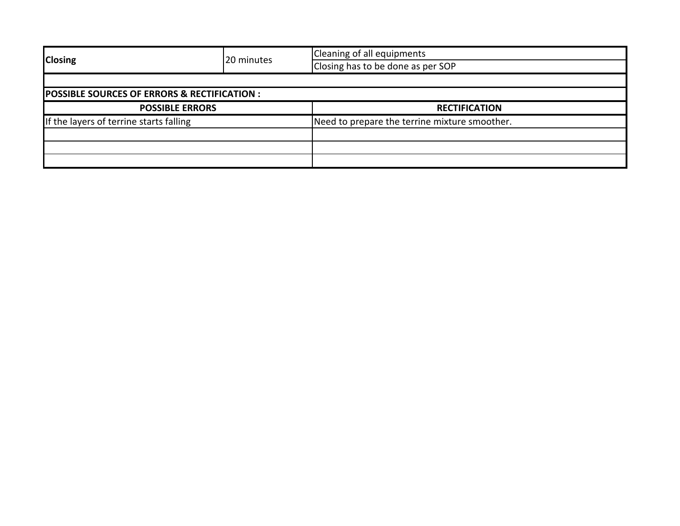| <b>Closing</b>                                         | 20 minutes | Cleaning of all equipments                    |  |  |
|--------------------------------------------------------|------------|-----------------------------------------------|--|--|
|                                                        |            | Closing has to be done as per SOP             |  |  |
|                                                        |            |                                               |  |  |
| <b>POSSIBLE SOURCES OF ERRORS &amp; RECTIFICATION:</b> |            |                                               |  |  |
| <b>POSSIBLE ERRORS</b>                                 |            | <b>RECTIFICATION</b>                          |  |  |
| If the layers of terrine starts falling                |            | Need to prepare the terrine mixture smoother. |  |  |
|                                                        |            |                                               |  |  |
|                                                        |            |                                               |  |  |
|                                                        |            |                                               |  |  |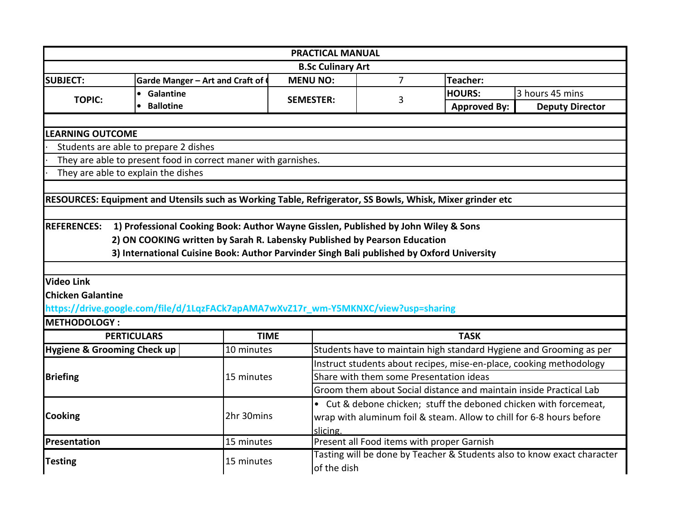|                                     |                                                                                                           | <b>PRACTICAL MANUAL</b> |                                            |                     |                                                                         |  |  |
|-------------------------------------|-----------------------------------------------------------------------------------------------------------|-------------------------|--------------------------------------------|---------------------|-------------------------------------------------------------------------|--|--|
| <b>B.Sc Culinary Art</b>            |                                                                                                           |                         |                                            |                     |                                                                         |  |  |
| <b>SUBJECT:</b>                     | Garde Manger - Art and Craft of                                                                           | <b>MENU NO:</b>         | $\overline{7}$                             | Teacher:            |                                                                         |  |  |
| <b>TOPIC:</b>                       | • Galantine                                                                                               | <b>SEMESTER:</b>        | 3                                          | <b>HOURS:</b>       | 3 hours 45 mins                                                         |  |  |
|                                     | <b>Ballotine</b><br>$\bullet$                                                                             |                         |                                            | <b>Approved By:</b> | <b>Deputy Director</b>                                                  |  |  |
|                                     |                                                                                                           |                         |                                            |                     |                                                                         |  |  |
| <b>LEARNING OUTCOME</b>             |                                                                                                           |                         |                                            |                     |                                                                         |  |  |
|                                     | Students are able to prepare 2 dishes                                                                     |                         |                                            |                     |                                                                         |  |  |
|                                     | They are able to present food in correct maner with garnishes.                                            |                         |                                            |                     |                                                                         |  |  |
| They are able to explain the dishes |                                                                                                           |                         |                                            |                     |                                                                         |  |  |
|                                     |                                                                                                           |                         |                                            |                     |                                                                         |  |  |
|                                     | RESOURCES: Equipment and Utensils such as Working Table, Refrigerator, SS Bowls, Whisk, Mixer grinder etc |                         |                                            |                     |                                                                         |  |  |
|                                     |                                                                                                           |                         |                                            |                     |                                                                         |  |  |
| <b>REFERENCES:</b>                  | 1) Professional Cooking Book: Author Wayne Gisslen, Published by John Wiley & Sons                        |                         |                                            |                     |                                                                         |  |  |
|                                     | 2) ON COOKING written by Sarah R. Labensky Published by Pearson Education                                 |                         |                                            |                     |                                                                         |  |  |
|                                     | 3) International Cuisine Book: Author Parvinder Singh Bali published by Oxford University                 |                         |                                            |                     |                                                                         |  |  |
|                                     |                                                                                                           |                         |                                            |                     |                                                                         |  |  |
| <b>Video Link</b>                   |                                                                                                           |                         |                                            |                     |                                                                         |  |  |
|                                     |                                                                                                           |                         |                                            |                     |                                                                         |  |  |
| <b>Chicken Galantine</b>            |                                                                                                           |                         |                                            |                     |                                                                         |  |  |
|                                     | https://drive.google.com/file/d/1LqzFACk7apAMA7wXvZ17r_wm-Y5MKNXC/view?usp=sharing                        |                         |                                            |                     |                                                                         |  |  |
| <b>METHODOLOGY:</b>                 |                                                                                                           |                         |                                            |                     |                                                                         |  |  |
| <b>PERTICULARS</b>                  |                                                                                                           | <b>TIME</b>             |                                            | <b>TASK</b>         |                                                                         |  |  |
| Hygiene & Grooming Check up         | 10 minutes                                                                                                |                         |                                            |                     | Students have to maintain high standard Hygiene and Grooming as per     |  |  |
|                                     |                                                                                                           |                         |                                            |                     | Instruct students about recipes, mise-en-place, cooking methodology     |  |  |
| <b>Briefing</b>                     | 15 minutes                                                                                                |                         | Share with them some Presentation ideas    |                     |                                                                         |  |  |
|                                     |                                                                                                           |                         |                                            |                     | Groom them about Social distance and maintain inside Practical Lab      |  |  |
|                                     |                                                                                                           |                         |                                            |                     | • Cut & debone chicken; stuff the deboned chicken with forcemeat,       |  |  |
| Cooking                             | 2hr 30mins                                                                                                |                         |                                            |                     | wrap with aluminum foil & steam. Allow to chill for 6-8 hours before    |  |  |
|                                     |                                                                                                           | slicing.                |                                            |                     |                                                                         |  |  |
| Presentation                        | 15 minutes                                                                                                |                         | Present all Food items with proper Garnish |                     |                                                                         |  |  |
| <b>Testing</b>                      | 15 minutes                                                                                                |                         |                                            |                     | Tasting will be done by Teacher & Students also to know exact character |  |  |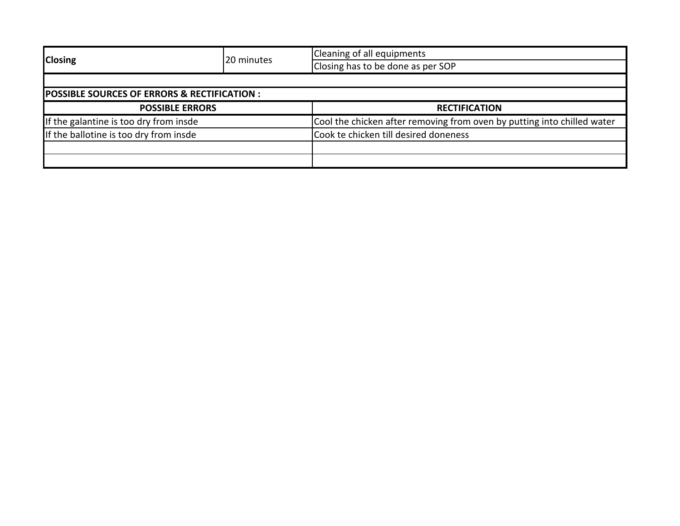|                                                        | 20 minutes | Cleaning of all equipments                                              |  |  |
|--------------------------------------------------------|------------|-------------------------------------------------------------------------|--|--|
| <b>Closing</b>                                         |            | Closing has to be done as per SOP                                       |  |  |
|                                                        |            |                                                                         |  |  |
| <b>POSSIBLE SOURCES OF ERRORS &amp; RECTIFICATION:</b> |            |                                                                         |  |  |
| <b>POSSIBLE ERRORS</b>                                 |            | <b>RECTIFICATION</b>                                                    |  |  |
| If the galantine is too dry from insde                 |            | Cool the chicken after removing from oven by putting into chilled water |  |  |
| If the ballotine is too dry from insde                 |            | Cook te chicken till desired doneness                                   |  |  |
|                                                        |            |                                                                         |  |  |
|                                                        |            |                                                                         |  |  |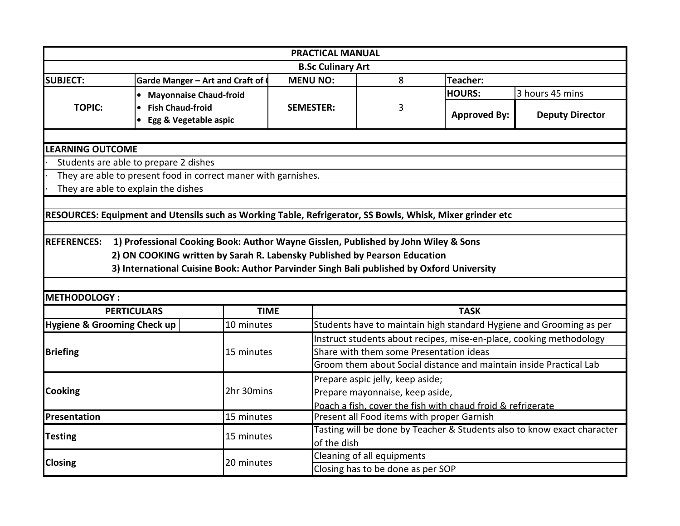|                                        |                                                                                                           | <b>PRACTICAL MANUAL</b>  |                                                                    |                                            |                                                                         |  |  |
|----------------------------------------|-----------------------------------------------------------------------------------------------------------|--------------------------|--------------------------------------------------------------------|--------------------------------------------|-------------------------------------------------------------------------|--|--|
|                                        |                                                                                                           | <b>B.Sc Culinary Art</b> |                                                                    |                                            |                                                                         |  |  |
| <b>SUBJECT:</b>                        | Garde Manger - Art and Craft of                                                                           | <b>MENU NO:</b>          | 8                                                                  | Teacher:                                   |                                                                         |  |  |
|                                        | <b>Mayonnaise Chaud-froid</b><br>$\bullet$                                                                |                          |                                                                    | <b>HOURS:</b>                              | 3 hours 45 mins                                                         |  |  |
| <b>TOPIC:</b>                          | <b>Fish Chaud-froid</b><br>$\bullet$                                                                      | <b>SEMESTER:</b>         | 3                                                                  |                                            |                                                                         |  |  |
|                                        | Egg & Vegetable aspic                                                                                     |                          |                                                                    | <b>Approved By:</b>                        | <b>Deputy Director</b>                                                  |  |  |
|                                        |                                                                                                           |                          |                                                                    |                                            |                                                                         |  |  |
| <b>LEARNING OUTCOME</b>                |                                                                                                           |                          |                                                                    |                                            |                                                                         |  |  |
|                                        | Students are able to prepare 2 dishes                                                                     |                          |                                                                    |                                            |                                                                         |  |  |
|                                        | They are able to present food in correct maner with garnishes.                                            |                          |                                                                    |                                            |                                                                         |  |  |
| They are able to explain the dishes    |                                                                                                           |                          |                                                                    |                                            |                                                                         |  |  |
|                                        |                                                                                                           |                          |                                                                    |                                            |                                                                         |  |  |
|                                        | RESOURCES: Equipment and Utensils such as Working Table, Refrigerator, SS Bowls, Whisk, Mixer grinder etc |                          |                                                                    |                                            |                                                                         |  |  |
|                                        |                                                                                                           |                          |                                                                    |                                            |                                                                         |  |  |
| <b>REFERENCES:</b>                     | 1) Professional Cooking Book: Author Wayne Gisslen, Published by John Wiley & Sons                        |                          |                                                                    |                                            |                                                                         |  |  |
|                                        | 2) ON COOKING written by Sarah R. Labensky Published by Pearson Education                                 |                          |                                                                    |                                            |                                                                         |  |  |
|                                        | 3) International Cuisine Book: Author Parvinder Singh Bali published by Oxford University                 |                          |                                                                    |                                            |                                                                         |  |  |
|                                        |                                                                                                           |                          |                                                                    |                                            |                                                                         |  |  |
| <b>METHODOLOGY:</b>                    |                                                                                                           |                          |                                                                    |                                            |                                                                         |  |  |
| <b>PERTICULARS</b>                     | <b>TIME</b>                                                                                               |                          |                                                                    | <b>TASK</b>                                |                                                                         |  |  |
| <b>Hygiene &amp; Grooming Check up</b> | 10 minutes                                                                                                |                          |                                                                    |                                            | Students have to maintain high standard Hygiene and Grooming as per     |  |  |
|                                        |                                                                                                           |                          |                                                                    |                                            | Instruct students about recipes, mise-en-place, cooking methodology     |  |  |
| <b>Briefing</b>                        | 15 minutes                                                                                                |                          | Share with them some Presentation ideas                            |                                            |                                                                         |  |  |
|                                        |                                                                                                           |                          | Groom them about Social distance and maintain inside Practical Lab |                                            |                                                                         |  |  |
|                                        |                                                                                                           |                          | Prepare aspic jelly, keep aside;                                   |                                            |                                                                         |  |  |
| Cooking                                | 2hr 30mins                                                                                                |                          | Prepare mayonnaise, keep aside,                                    |                                            |                                                                         |  |  |
|                                        |                                                                                                           |                          | Poach a fish, cover the fish with chaud froid & refrigerate        |                                            |                                                                         |  |  |
| Presentation                           | 15 minutes                                                                                                |                          |                                                                    | Present all Food items with proper Garnish |                                                                         |  |  |
| <b>Testing</b>                         |                                                                                                           |                          |                                                                    |                                            |                                                                         |  |  |
|                                        |                                                                                                           |                          |                                                                    |                                            | Tasting will be done by Teacher & Students also to know exact character |  |  |
|                                        | 15 minutes                                                                                                | of the dish              |                                                                    |                                            |                                                                         |  |  |
| <b>Closing</b>                         | 20 minutes                                                                                                |                          | Cleaning of all equipments                                         |                                            |                                                                         |  |  |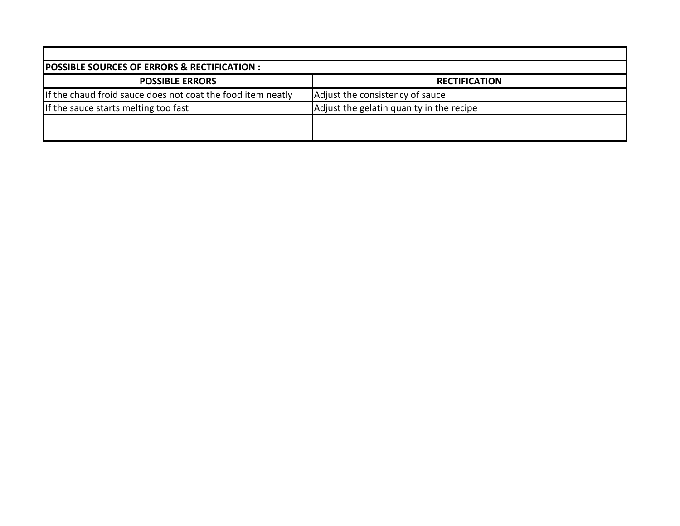| <b>POSSIBLE SOURCES OF ERRORS &amp; RECTIFICATION :</b>     |                                          |
|-------------------------------------------------------------|------------------------------------------|
| <b>POSSIBLE ERRORS</b>                                      | <b>RECTIFICATION</b>                     |
| If the chaud froid sauce does not coat the food item neatly | Adjust the consistency of sauce          |
| If the sauce starts melting too fast                        | Adjust the gelatin quanity in the recipe |
|                                                             |                                          |
|                                                             |                                          |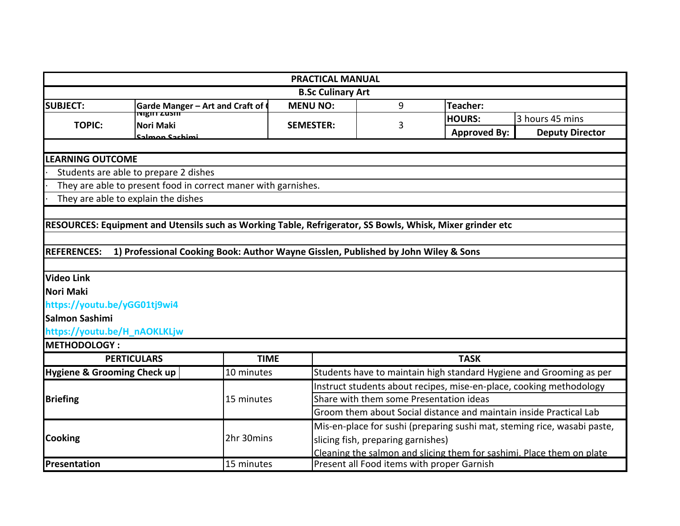|                                        |                                                                                                           | <b>PRACTICAL MANUAL</b>  |                                                                       |                     |                                                                          |  |
|----------------------------------------|-----------------------------------------------------------------------------------------------------------|--------------------------|-----------------------------------------------------------------------|---------------------|--------------------------------------------------------------------------|--|
|                                        |                                                                                                           | <b>B.Sc Culinary Art</b> |                                                                       |                     |                                                                          |  |
| <b>SUBJECT:</b>                        | 9<br><b>MENU NO:</b><br>Teacher:<br><b>Garde Manger - Art and Craft of (</b>                              |                          |                                                                       |                     |                                                                          |  |
| <b>TOPIC:</b>                          | <b>THE TELESTIC</b><br>Nori Maki                                                                          | <b>SEMESTER:</b>         | 3                                                                     | <b>HOURS:</b>       | 3 hours 45 mins                                                          |  |
|                                        | نصنطعدع ممصلحة                                                                                            |                          |                                                                       | <b>Approved By:</b> | <b>Deputy Director</b>                                                   |  |
|                                        |                                                                                                           |                          |                                                                       |                     |                                                                          |  |
| <b>LEARNING OUTCOME</b>                |                                                                                                           |                          |                                                                       |                     |                                                                          |  |
|                                        | Students are able to prepare 2 dishes                                                                     |                          |                                                                       |                     |                                                                          |  |
|                                        | They are able to present food in correct maner with garnishes.                                            |                          |                                                                       |                     |                                                                          |  |
|                                        | They are able to explain the dishes                                                                       |                          |                                                                       |                     |                                                                          |  |
|                                        |                                                                                                           |                          |                                                                       |                     |                                                                          |  |
|                                        | RESOURCES: Equipment and Utensils such as Working Table, Refrigerator, SS Bowls, Whisk, Mixer grinder etc |                          |                                                                       |                     |                                                                          |  |
|                                        |                                                                                                           |                          |                                                                       |                     |                                                                          |  |
| <b>REFERENCES:</b>                     | 1) Professional Cooking Book: Author Wayne Gisslen, Published by John Wiley & Sons                        |                          |                                                                       |                     |                                                                          |  |
|                                        |                                                                                                           |                          |                                                                       |                     |                                                                          |  |
| <b>Video Link</b>                      |                                                                                                           |                          |                                                                       |                     |                                                                          |  |
| Nori Maki                              |                                                                                                           |                          |                                                                       |                     |                                                                          |  |
| https://youtu.be/yGG01tj9wi4           |                                                                                                           |                          |                                                                       |                     |                                                                          |  |
| Salmon Sashimi                         |                                                                                                           |                          |                                                                       |                     |                                                                          |  |
| https://youtu.be/H_nAOKLKLjw           |                                                                                                           |                          |                                                                       |                     |                                                                          |  |
| METHODOLOGY:                           |                                                                                                           |                          |                                                                       |                     |                                                                          |  |
|                                        | <b>PERTICULARS</b>                                                                                        | <b>TIME</b>              |                                                                       | <b>TASK</b>         |                                                                          |  |
| <b>Hygiene &amp; Grooming Check up</b> | 10 minutes                                                                                                |                          |                                                                       |                     | Students have to maintain high standard Hygiene and Grooming as per      |  |
|                                        |                                                                                                           |                          | Instruct students about recipes, mise-en-place, cooking methodology   |                     |                                                                          |  |
| <b>Briefing</b>                        | 15 minutes                                                                                                |                          | Share with them some Presentation ideas                               |                     |                                                                          |  |
|                                        |                                                                                                           |                          | Groom them about Social distance and maintain inside Practical Lab    |                     |                                                                          |  |
|                                        |                                                                                                           |                          |                                                                       |                     | Mis-en-place for sushi (preparing sushi mat, steming rice, wasabi paste, |  |
| <b>Cooking</b>                         | 2hr 30mins                                                                                                |                          | slicing fish, preparing garnishes)                                    |                     |                                                                          |  |
|                                        |                                                                                                           |                          | Cleaning the salmon and slicing them for sashimi. Place them on plate |                     |                                                                          |  |
| Presentation                           | 15 minutes                                                                                                |                          | Present all Food items with proper Garnish                            |                     |                                                                          |  |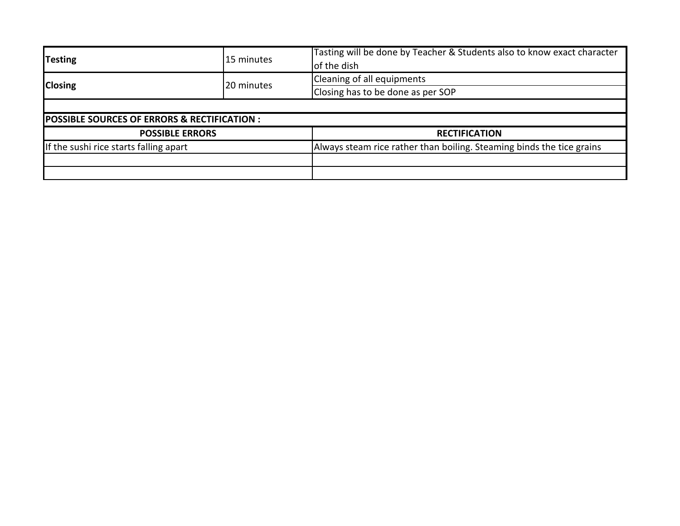| <b>Testing</b><br>15 minutes                 |            | Tasting will be done by Teacher & Students also to know exact character<br>of the dish |  |  |
|----------------------------------------------|------------|----------------------------------------------------------------------------------------|--|--|
| <b>Closing</b>                               | 20 minutes | Cleaning of all equipments                                                             |  |  |
|                                              |            | Closing has to be done as per SOP                                                      |  |  |
|                                              |            |                                                                                        |  |  |
| POSSIBLE SOURCES OF ERRORS & RECTIFICATION : |            |                                                                                        |  |  |
| <b>POSSIBLE ERRORS</b>                       |            | <b>RECTIFICATION</b>                                                                   |  |  |
| If the sushi rice starts falling apart       |            | Always steam rice rather than boiling. Steaming binds the tice grains                  |  |  |
|                                              |            |                                                                                        |  |  |
|                                              |            |                                                                                        |  |  |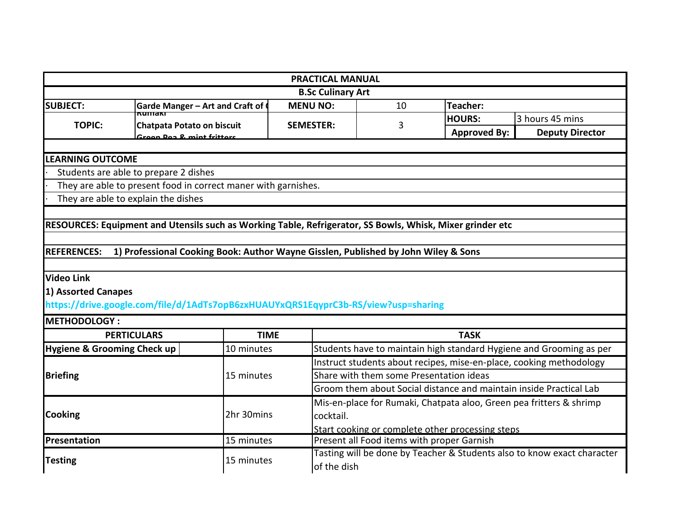|                                        |                                                                                                           | <b>PRACTICAL MANUAL</b>  |                                            |                                                  |                                                                         |  |  |
|----------------------------------------|-----------------------------------------------------------------------------------------------------------|--------------------------|--------------------------------------------|--------------------------------------------------|-------------------------------------------------------------------------|--|--|
|                                        |                                                                                                           | <b>B.Sc Culinary Art</b> |                                            |                                                  |                                                                         |  |  |
| <b>SUBJECT:</b>                        | Garde Manger - Art and Craft of                                                                           | <b>MENU NO:</b>          | 10<br><b>Teacher:</b>                      |                                                  |                                                                         |  |  |
| <b>TOPIC:</b>                          | $\overline{\text{numam}}$<br>Chatpata Potato on biscuit                                                   | <b>SEMESTER:</b>         | 3                                          | <b>HOURS:</b>                                    | 3 hours 45 mins                                                         |  |  |
|                                        | Croon Don R. mint frittare                                                                                |                          |                                            | <b>Approved By:</b>                              | <b>Deputy Director</b>                                                  |  |  |
|                                        |                                                                                                           |                          |                                            |                                                  |                                                                         |  |  |
| <b>LEARNING OUTCOME</b>                |                                                                                                           |                          |                                            |                                                  |                                                                         |  |  |
| Students are able to prepare 2 dishes  |                                                                                                           |                          |                                            |                                                  |                                                                         |  |  |
|                                        | They are able to present food in correct maner with garnishes.                                            |                          |                                            |                                                  |                                                                         |  |  |
| They are able to explain the dishes    |                                                                                                           |                          |                                            |                                                  |                                                                         |  |  |
|                                        |                                                                                                           |                          |                                            |                                                  |                                                                         |  |  |
|                                        | RESOURCES: Equipment and Utensils such as Working Table, Refrigerator, SS Bowls, Whisk, Mixer grinder etc |                          |                                            |                                                  |                                                                         |  |  |
|                                        |                                                                                                           |                          |                                            |                                                  |                                                                         |  |  |
| <b>REFERENCES:</b>                     | 1) Professional Cooking Book: Author Wayne Gisslen, Published by John Wiley & Sons                        |                          |                                            |                                                  |                                                                         |  |  |
|                                        |                                                                                                           |                          |                                            |                                                  |                                                                         |  |  |
| <b>Video Link</b>                      |                                                                                                           |                          |                                            |                                                  |                                                                         |  |  |
| 1) Assorted Canapes                    |                                                                                                           |                          |                                            |                                                  |                                                                         |  |  |
|                                        | https://drive.google.com/file/d/1AdTs7opB6zxHUAUYxQRS1EqyprC3b-RS/view?usp=sharing                        |                          |                                            |                                                  |                                                                         |  |  |
| <b>METHODOLOGY:</b>                    |                                                                                                           |                          |                                            |                                                  |                                                                         |  |  |
| <b>PERTICULARS</b>                     | <b>TIME</b>                                                                                               |                          |                                            | <b>TASK</b>                                      |                                                                         |  |  |
| <b>Hygiene &amp; Grooming Check up</b> | 10 minutes                                                                                                |                          |                                            |                                                  | Students have to maintain high standard Hygiene and Grooming as per     |  |  |
|                                        |                                                                                                           |                          |                                            |                                                  | Instruct students about recipes, mise-en-place, cooking methodology     |  |  |
| <b>Briefing</b>                        | 15 minutes                                                                                                |                          | Share with them some Presentation ideas    |                                                  |                                                                         |  |  |
|                                        |                                                                                                           |                          |                                            |                                                  | Groom them about Social distance and maintain inside Practical Lab      |  |  |
|                                        |                                                                                                           |                          |                                            |                                                  | Mis-en-place for Rumaki, Chatpata aloo, Green pea fritters & shrimp     |  |  |
| <b>Cooking</b>                         | 2hr 30mins                                                                                                | cocktail.                |                                            |                                                  |                                                                         |  |  |
|                                        |                                                                                                           |                          |                                            | Start cooking or complete other processing steps |                                                                         |  |  |
| Presentation                           | 15 minutes                                                                                                |                          | Present all Food items with proper Garnish |                                                  |                                                                         |  |  |
|                                        |                                                                                                           |                          |                                            |                                                  | Tasting will be done by Teacher & Students also to know exact character |  |  |
| <b>Testing</b>                         | 15 minutes                                                                                                | of the dish              |                                            |                                                  |                                                                         |  |  |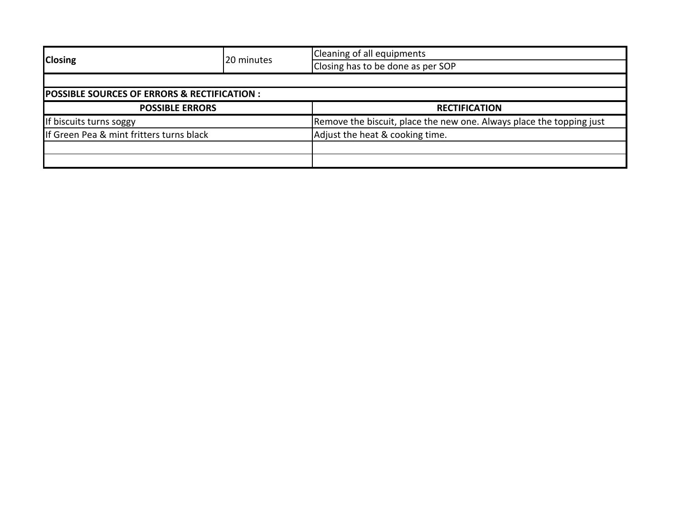|                                                        | 20 minutes | Cleaning of all equipments                                           |  |  |
|--------------------------------------------------------|------------|----------------------------------------------------------------------|--|--|
| <b>Closing</b>                                         |            | Closing has to be done as per SOP                                    |  |  |
|                                                        |            |                                                                      |  |  |
| <b>POSSIBLE SOURCES OF ERRORS &amp; RECTIFICATION:</b> |            |                                                                      |  |  |
| <b>POSSIBLE ERRORS</b>                                 |            | <b>RECTIFICATION</b>                                                 |  |  |
| If biscuits turns soggy                                |            | Remove the biscuit, place the new one. Always place the topping just |  |  |
| If Green Pea & mint fritters turns black               |            | Adjust the heat & cooking time.                                      |  |  |
|                                                        |            |                                                                      |  |  |
|                                                        |            |                                                                      |  |  |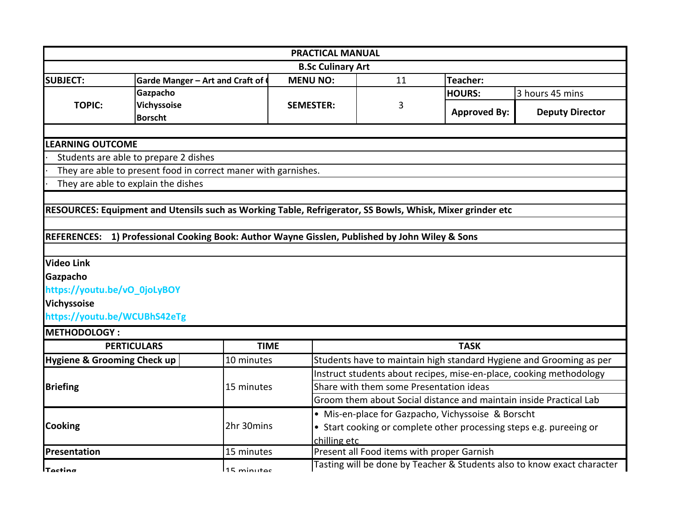|                              |                                                                                                           |                  | <b>PRACTICAL MANUAL</b>                                             |                     |                                                                         |  |
|------------------------------|-----------------------------------------------------------------------------------------------------------|------------------|---------------------------------------------------------------------|---------------------|-------------------------------------------------------------------------|--|
|                              |                                                                                                           |                  | <b>B.Sc Culinary Art</b>                                            |                     |                                                                         |  |
| <b>SUBJECT:</b>              | Garde Manger - Art and Craft of                                                                           | <b>MENU NO:</b>  | 11                                                                  | Teacher:            |                                                                         |  |
|                              | Gazpacho                                                                                                  |                  |                                                                     | <b>HOURS:</b>       | 3 hours 45 mins                                                         |  |
| <b>TOPIC:</b>                | Vichyssoise                                                                                               | <b>SEMESTER:</b> | 3                                                                   | <b>Approved By:</b> | <b>Deputy Director</b>                                                  |  |
|                              | <b>Borscht</b>                                                                                            |                  |                                                                     |                     |                                                                         |  |
|                              |                                                                                                           |                  |                                                                     |                     |                                                                         |  |
| <b>LEARNING OUTCOME</b>      |                                                                                                           |                  |                                                                     |                     |                                                                         |  |
|                              | Students are able to prepare 2 dishes                                                                     |                  |                                                                     |                     |                                                                         |  |
|                              | They are able to present food in correct maner with garnishes.                                            |                  |                                                                     |                     |                                                                         |  |
|                              | They are able to explain the dishes                                                                       |                  |                                                                     |                     |                                                                         |  |
|                              |                                                                                                           |                  |                                                                     |                     |                                                                         |  |
|                              | RESOURCES: Equipment and Utensils such as Working Table, Refrigerator, SS Bowls, Whisk, Mixer grinder etc |                  |                                                                     |                     |                                                                         |  |
|                              |                                                                                                           |                  |                                                                     |                     |                                                                         |  |
| <b>REFERENCES:</b>           | 1) Professional Cooking Book: Author Wayne Gisslen, Published by John Wiley & Sons                        |                  |                                                                     |                     |                                                                         |  |
|                              |                                                                                                           |                  |                                                                     |                     |                                                                         |  |
| <b>Video Link</b>            |                                                                                                           |                  |                                                                     |                     |                                                                         |  |
| Gazpacho                     |                                                                                                           |                  |                                                                     |                     |                                                                         |  |
| https://youtu.be/vO_0joLyBOY |                                                                                                           |                  |                                                                     |                     |                                                                         |  |
| Vichyssoise                  |                                                                                                           |                  |                                                                     |                     |                                                                         |  |
| https://youtu.be/WCUBhS42eTg |                                                                                                           |                  |                                                                     |                     |                                                                         |  |
| <b>METHODOLOGY:</b>          |                                                                                                           |                  |                                                                     |                     |                                                                         |  |
|                              | <b>PERTICULARS</b>                                                                                        | <b>TIME</b>      |                                                                     | <b>TASK</b>         |                                                                         |  |
| Hygiene & Grooming Check up  | 10 minutes                                                                                                |                  |                                                                     |                     | Students have to maintain high standard Hygiene and Grooming as per     |  |
|                              |                                                                                                           |                  | Instruct students about recipes, mise-en-place, cooking methodology |                     |                                                                         |  |
| <b>Briefing</b>              | 15 minutes                                                                                                |                  | Share with them some Presentation ideas                             |                     |                                                                         |  |
|                              |                                                                                                           |                  | Groom them about Social distance and maintain inside Practical Lab  |                     |                                                                         |  |
| Cooking                      |                                                                                                           |                  | • Mis-en-place for Gazpacho, Vichyssoise & Borscht                  |                     |                                                                         |  |
|                              | 2hr 30mins                                                                                                |                  | • Start cooking or complete other processing steps e.g. pureeing or |                     |                                                                         |  |
|                              |                                                                                                           |                  | chilling etc                                                        |                     |                                                                         |  |
| Presentation                 | 15 minutes                                                                                                |                  | Present all Food items with proper Garnish                          |                     |                                                                         |  |
| <b>Tacting</b>               | <b>15 minutac</b>                                                                                         |                  |                                                                     |                     | Tasting will be done by Teacher & Students also to know exact character |  |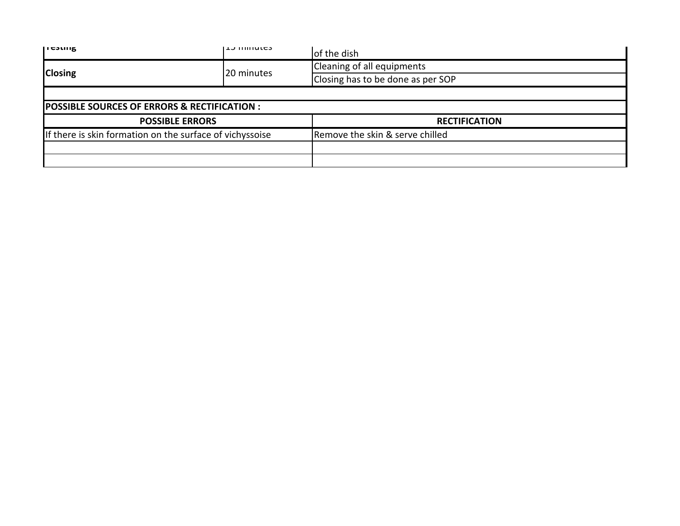| <b>IICSUIK</b>                                           | <b>L</b> TIMINGS       | of the dish                       |  |  |
|----------------------------------------------------------|------------------------|-----------------------------------|--|--|
| <b>Closing</b>                                           | 20 minutes             | Cleaning of all equipments        |  |  |
|                                                          |                        | Closing has to be done as per SOP |  |  |
|                                                          |                        |                                   |  |  |
| POSSIBLE SOURCES OF ERRORS & RECTIFICATION :             |                        |                                   |  |  |
|                                                          | <b>POSSIBLE ERRORS</b> | <b>RECTIFICATION</b>              |  |  |
| If there is skin formation on the surface of vichyssoise |                        | Remove the skin & serve chilled   |  |  |
|                                                          |                        |                                   |  |  |
|                                                          |                        |                                   |  |  |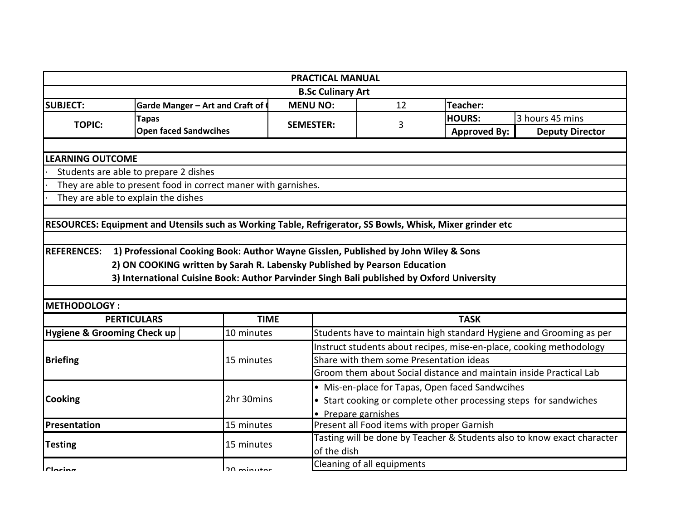|                                                                                                           |                                                                                           | <b>PRACTICAL MANUAL</b>    |                                                                         |                     |                                                                     |  |  |
|-----------------------------------------------------------------------------------------------------------|-------------------------------------------------------------------------------------------|----------------------------|-------------------------------------------------------------------------|---------------------|---------------------------------------------------------------------|--|--|
|                                                                                                           |                                                                                           | <b>B.Sc Culinary Art</b>   |                                                                         |                     |                                                                     |  |  |
| <b>SUBJECT:</b>                                                                                           | Garde Manger - Art and Craft of                                                           | <b>MENU NO:</b>            | 12                                                                      | Teacher:            |                                                                     |  |  |
| <b>Tapas</b><br><b>TOPIC:</b>                                                                             |                                                                                           | <b>SEMESTER:</b>           | 3                                                                       | <b>HOURS:</b>       | 3 hours 45 mins                                                     |  |  |
|                                                                                                           | <b>Open faced Sandwcihes</b>                                                              |                            |                                                                         | <b>Approved By:</b> | <b>Deputy Director</b>                                              |  |  |
|                                                                                                           |                                                                                           |                            |                                                                         |                     |                                                                     |  |  |
| <b>LEARNING OUTCOME</b>                                                                                   |                                                                                           |                            |                                                                         |                     |                                                                     |  |  |
| Students are able to prepare 2 dishes                                                                     |                                                                                           |                            |                                                                         |                     |                                                                     |  |  |
| They are able to present food in correct maner with garnishes.                                            |                                                                                           |                            |                                                                         |                     |                                                                     |  |  |
| They are able to explain the dishes                                                                       |                                                                                           |                            |                                                                         |                     |                                                                     |  |  |
|                                                                                                           |                                                                                           |                            |                                                                         |                     |                                                                     |  |  |
| RESOURCES: Equipment and Utensils such as Working Table, Refrigerator, SS Bowls, Whisk, Mixer grinder etc |                                                                                           |                            |                                                                         |                     |                                                                     |  |  |
|                                                                                                           |                                                                                           |                            |                                                                         |                     |                                                                     |  |  |
| <b>REFERENCES:</b>                                                                                        | 1) Professional Cooking Book: Author Wayne Gisslen, Published by John Wiley & Sons        |                            |                                                                         |                     |                                                                     |  |  |
|                                                                                                           | 2) ON COOKING written by Sarah R. Labensky Published by Pearson Education                 |                            |                                                                         |                     |                                                                     |  |  |
|                                                                                                           | 3) International Cuisine Book: Author Parvinder Singh Bali published by Oxford University |                            |                                                                         |                     |                                                                     |  |  |
|                                                                                                           |                                                                                           |                            |                                                                         |                     |                                                                     |  |  |
| <b>METHODOLOGY:</b>                                                                                       |                                                                                           |                            |                                                                         |                     |                                                                     |  |  |
| <b>PERTICULARS</b>                                                                                        | <b>TIME</b>                                                                               |                            |                                                                         | <b>TASK</b>         |                                                                     |  |  |
| <b>Hygiene &amp; Grooming Check up</b>                                                                    | 10 minutes                                                                                |                            |                                                                         |                     | Students have to maintain high standard Hygiene and Grooming as per |  |  |
| <b>Briefing</b>                                                                                           |                                                                                           |                            | Instruct students about recipes, mise-en-place, cooking methodology     |                     |                                                                     |  |  |
|                                                                                                           | 15 minutes                                                                                |                            | Share with them some Presentation ideas                                 |                     |                                                                     |  |  |
|                                                                                                           |                                                                                           |                            | Groom them about Social distance and maintain inside Practical Lab      |                     |                                                                     |  |  |
| <b>Cooking</b>                                                                                            |                                                                                           |                            | • Mis-en-place for Tapas, Open faced Sandwcihes                         |                     |                                                                     |  |  |
|                                                                                                           | 2hr 30mins                                                                                |                            | • Start cooking or complete other processing steps for sandwiches       |                     |                                                                     |  |  |
|                                                                                                           |                                                                                           |                            | • Prepare garnishes                                                     |                     |                                                                     |  |  |
| Presentation                                                                                              | 15 minutes                                                                                |                            | Present all Food items with proper Garnish                              |                     |                                                                     |  |  |
|                                                                                                           |                                                                                           |                            | Tasting will be done by Teacher & Students also to know exact character |                     |                                                                     |  |  |
| <b>Testing</b>                                                                                            | 15 minutes                                                                                |                            | of the dish                                                             |                     |                                                                     |  |  |
|                                                                                                           |                                                                                           | Cleaning of all equipments |                                                                         |                     |                                                                     |  |  |